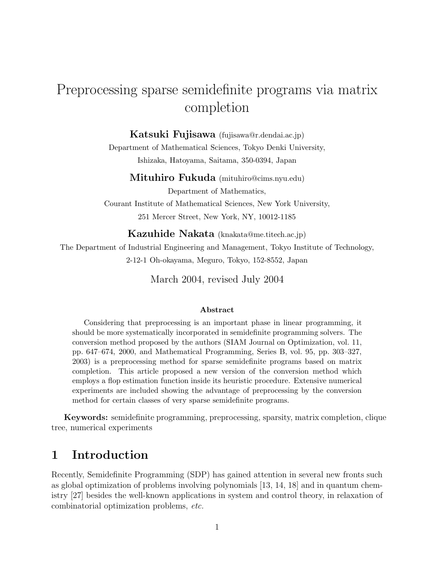# Preprocessing sparse semidefinite programs via matrix completion

#### Katsuki Fujisawa (fujisawa@r.dendai.ac.jp)

Department of Mathematical Sciences, Tokyo Denki University, Ishizaka, Hatoyama, Saitama, 350-0394, Japan

#### Mituhiro Fukuda (mituhiro@cims.nyu.edu)

Department of Mathematics, Courant Institute of Mathematical Sciences, New York University, 251 Mercer Street, New York, NY, 10012-1185

Kazuhide Nakata (knakata@me.titech.ac.jp)

The Department of Industrial Engineering and Management, Tokyo Institute of Technology,

2-12-1 Oh-okayama, Meguro, Tokyo, 152-8552, Japan

March 2004, revised July 2004

#### Abstract

Considering that preprocessing is an important phase in linear programming, it should be more systematically incorporated in semidefinite programming solvers. The conversion method proposed by the authors (SIAM Journal on Optimization, vol. 11, pp. 647–674, 2000, and Mathematical Programming, Series B, vol. 95, pp. 303–327, 2003) is a preprocessing method for sparse semidefinite programs based on matrix completion. This article proposed a new version of the conversion method which employs a flop estimation function inside its heuristic procedure. Extensive numerical experiments are included showing the advantage of preprocessing by the conversion method for certain classes of very sparse semidefinite programs.

Keywords: semidefinite programming, preprocessing, sparsity, matrix completion, clique tree, numerical experiments

### 1 Introduction

Recently, Semidefinite Programming (SDP) has gained attention in several new fronts such as global optimization of problems involving polynomials [13, 14, 18] and in quantum chemistry [27] besides the well-known applications in system and control theory, in relaxation of combinatorial optimization problems, etc.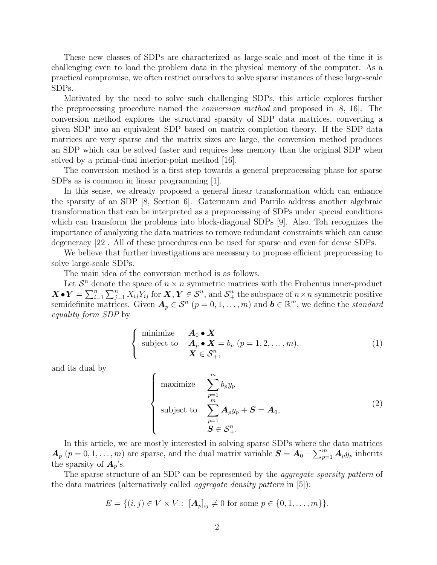These new classes of SDPs are characterized as large-scale and most of the time it is challenging even to load the problem data in the physical memory of the computer. As a practical compromise, we often restrict ourselves to solve sparse instances of these large-scale SDPs.

Motivated by the need to solve such challenging SDPs, this article explores further the preprocessing procedure named the conversion method and proposed in [8, 16]. The conversion method explores the structural sparsity of SDP data matrices, converting a given SDP into an equivalent SDP based on matrix completion theory. If the SDP data matrices are very sparse and the matrix sizes are large, the conversion method produces an SDP which can be solved faster and requires less memory than the original SDP when solved by a primal-dual interior-point method [16].

The conversion method is a first step towards a general preprocessing phase for sparse SDPs as is common in linear programming [1].

In this sense, we already proposed a general linear transformation which can enhance the sparsity of an SDP [8, Section 6]. Gatermann and Parrilo address another algebraic transformation that can be interpreted as a preprocessing of SDPs under special conditions which can transform the problems into block-diagonal SDPs [9]. Also, Toh recognizes the importance of analyzing the data matrices to remove redundant constraints which can cause degeneracy [22]. All of these procedures can be used for sparse and even for dense SDPs.

We believe that further investigations are necessary to propose efficient preprocessing to solve large-scale SDPs.

The main idea of the conversion method is as follows.

Let  $\mathcal{S}^n$  denote the space of  $n \times n$  symmetric matrices with the Frobenius inner-product  $\boldsymbol{X} \bullet \boldsymbol{Y} = \sum_{i=1}^n \sum_{j=1}^n X_{ij} Y_{ij}$  for  $\boldsymbol{X}, \boldsymbol{Y} \in \mathcal{S}^n$ , and  $\mathcal{S}_+^n$  the subspace of  $n \times n$  symmetric positive semidefinite matrices. Given  $A_p \in \mathcal{S}^n$   $(p = 0, 1, ..., m)$  and  $b \in \mathbb{R}^m$ , we define the *standard* equality form SDP by

$$
\begin{cases}\n\text{minimize} & \mathbf{A}_0 \bullet \mathbf{X} \\
\text{subject to} & \mathbf{A}_p \bullet \mathbf{X} = b_p \ (p = 1, 2, \dots, m), \\
& \mathbf{X} \in \mathcal{S}_+^n,\n\end{cases} \tag{1}
$$

and its dual by

$$
\begin{cases}\n\text{maximize} & \sum_{p=1}^{m} b_p y_p \\
\text{subject to} & \sum_{p=1}^{m} A_p y_p + S = A_0, \\
S \in S_+^n.\n\end{cases}
$$
\n(2)

In this article, we are mostly interested in solving sparse SDPs where the data matrices  $A_p$   $(p = 0, 1, \ldots, m)$  are sparse, and the dual matrix variable  $S = A_0 - \sum_{p=1}^{m} A_p y_p$  inherits the sparsity of  $A_p$ 's.

The sparse structure of an SDP can be represented by the *aggregate sparsity pattern* of the data matrices (alternatively called *aggregate density pattern* in  $(5)$ ):

$$
E = \{(i, j) \in V \times V : [A_p]_{ij} \neq 0 \text{ for some } p \in \{0, 1, \dots, m\}\}.
$$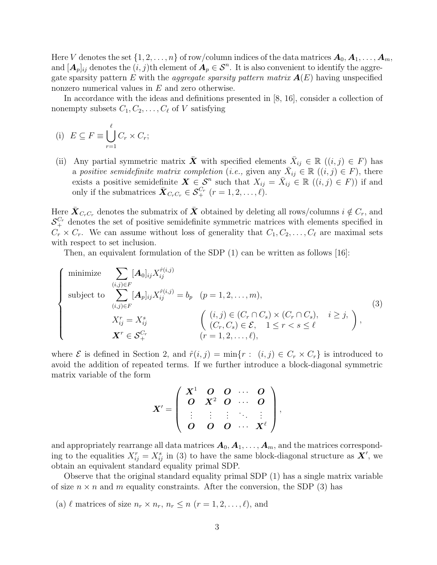Here V denotes the set  $\{1, 2, ..., n\}$  of row/column indices of the data matrices  $A_0, A_1, ..., A_m$ , and  $[\mathbf{A}_p]_{ij}$  denotes the  $(i, j)$ th element of  $\mathbf{A}_p \in \mathcal{S}^n$ . It is also convenient to identify the aggregate sparsity pattern E with the *aggregate sparsity pattern matrix*  $A(E)$  having unspecified nonzero numerical values in E and zero otherwise.

In accordance with the ideas and definitions presented in [8, 16], consider a collection of nonempty subsets  $C_1, C_2, \ldots, C_\ell$  of V satisfying

(i) 
$$
E \subseteq F \equiv \bigcup_{r=1}^{\ell} C_r \times C_r;
$$

(ii) Any partial symmetric matrix  $\bar{\boldsymbol{X}}$  with specified elements  $\bar{X}_{ij} \in \mathbb{R}$   $((i, j) \in F)$  has a positive semidefinite matrix completion (i.e., given any  $\bar{X}_{ij} \in \mathbb{R}$   $((i, j) \in F)$ , there exists a positive semidefinite  $\mathbf{X} \in \mathcal{S}^n$  such that  $X_{ij} = \bar{X}_{ij} \in \mathbb{R}$   $((i, j) \in F)$  if and only if the submatrices  $\bar{\boldsymbol{X}}_{C_rC_r} \in \mathcal{S}_+^{C_r}$   $(r = 1, 2, \ldots, \ell).$ 

Here  $\bar{\bm{X}}_{C_rC_r}$  denotes the submatrix of  $\bar{\bm{X}}$  obtained by deleting all rows/columns  $i \notin C_r$ , and  $S_{+}^{C_{r}}$  denotes the set of positive semidefinite symmetric matrices with elements specified in  $C_r \times C_r$ . We can assume without loss of generality that  $C_1, C_2, \ldots, C_\ell$  are maximal sets with respect to set inclusion.

Then, an equivalent formulation of the SDP (1) can be written as follows [16]:

$$
\begin{cases}\n\text{minimize} & \sum_{(i,j)\in F} [\mathbf{A}_0]_{ij} X_{ij}^{\hat{r}(i,j)} \\
\text{subject to} & \sum_{(i,j)\in F} [\mathbf{A}_p]_{ij} X_{ij}^{\hat{r}(i,j)} = b_p \quad (p=1,2,\ldots,m), \\
& X_{ij}^r = X_{ij}^s \\
& X^r \in \mathcal{S}_+^{C_r} \quad \text{(i,j) } \in (C_r \cap C_s) \times (C_r \cap C_s), \quad i \geq j, \\
& X^r \in \mathcal{S}_+^{C_r} \quad (r=1,2,\ldots,\ell),\n\end{cases} \tag{3}
$$

where  $\mathcal E$  is defined in Section 2, and  $\hat r(i, j) = \min\{r : (i, j) \in C_r \times C_r\}$  is introduced to avoid the addition of repeated terms. If we further introduce a block-diagonal symmetric matrix variable of the form

$$
X'=\left(\begin{array}{cccc}X^1&O&O&\cdots &O\\O&X^2&O&\cdots &O\\ \vdots&\vdots&\vdots&\ddots &\vdots\\O&O&O&\cdots &X^\ell\end{array}\right),
$$

and appropriately rearrange all data matrices  $A_0, A_1, \ldots, A_m$ , and the matrices corresponding to the equalities  $X_{ij}^r = X_{ij}^s$  in (3) to have the same block-diagonal structure as  $\mathbf{X}'$ , we obtain an equivalent standard equality primal SDP.

Observe that the original standard equality primal SDP (1) has a single matrix variable of size  $n \times n$  and m equality constraints. After the conversion, the SDP (3) has

(a)  $\ell$  matrices of size  $n_r \times n_r$ ,  $n_r \leq n$   $(r = 1, 2, \ldots, \ell)$ , and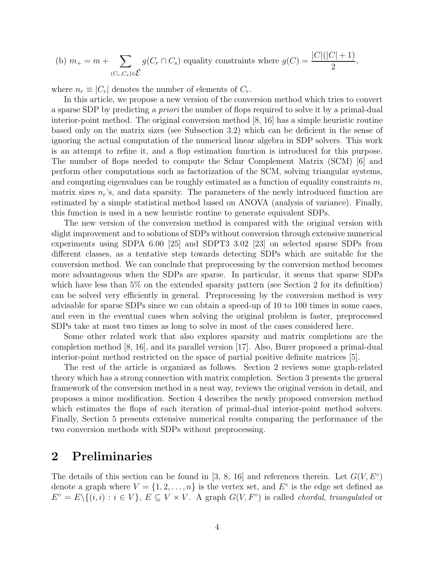(b) 
$$
m_+ = m + \sum_{(C_r, C_s) \in \mathcal{E}} g(C_r \cap C_s)
$$
 equality constraints where  $g(C) = \frac{|C|(|C|+1)}{2}$ ,

where  $n_r \equiv |C_r|$  denotes the number of elements of  $C_r$ .

In this article, we propose a new version of the conversion method which tries to convert a sparse SDP by predicting a priori the number of flops required to solve it by a primal-dual interior-point method. The original conversion method [8, 16] has a simple heuristic routine based only on the matrix sizes (see Subsection 3.2) which can be deficient in the sense of ignoring the actual computation of the numerical linear algebra in SDP solvers. This work is an attempt to refine it, and a flop estimation function is introduced for this purpose. The number of flops needed to compute the Schur Complement Matrix (SCM) [6] and perform other computations such as factorization of the SCM, solving triangular systems, and computing eigenvalues can be roughly estimated as a function of equality constraints  $m$ , matrix sizes  $n_r$ 's, and data sparsity. The parameters of the newly introduced function are estimated by a simple statistical method based on ANOVA (analysis of variance). Finally, this function is used in a new heuristic routine to generate equivalent SDPs.

The new version of the conversion method is compared with the original version with slight improvement and to solutions of SDPs without conversion through extensive numerical experiments using SDPA 6.00 [25] and SDPT3 3.02 [23] on selected sparse SDPs from different classes, as a tentative step towards detecting SDPs which are suitable for the conversion method. We can conclude that preprocessing by the conversion method becomes more advantageous when the SDPs are sparse. In particular, it seems that sparse SDPs which have less than 5% on the extended sparsity pattern (see Section 2 for its definition) can be solved very efficiently in general. Preprocessing by the conversion method is very advisable for sparse SDPs since we can obtain a speed-up of 10 to 100 times in some cases, and even in the eventual cases when solving the original problem is faster, preprocessed SDPs take at most two times as long to solve in most of the cases considered here.

Some other related work that also explores sparsity and matrix completions are the completion method [8, 16], and its parallel version [17]. Also, Burer proposed a primal-dual interior-point method restricted on the space of partial positive definite matrices [5].

The rest of the article is organized as follows. Section 2 reviews some graph-related theory which has a strong connection with matrix completion. Section 3 presents the general framework of the conversion method in a neat way, reviews the original version in detail, and proposes a minor modification. Section 4 describes the newly proposed conversion method which estimates the flops of each iteration of primal-dual interior-point method solvers. Finally, Section 5 presents extensive numerical results comparing the performance of the two conversion methods with SDPs without preprocessing.

### 2 Preliminaries

The details of this section can be found in [3, 8, 16] and references therein. Let  $G(V, E<sup>°</sup>)$ denote a graph where  $V = \{1, 2, ..., n\}$  is the vertex set, and  $E^{\circ}$  is the edge set defined as  $E^{\circ} = E \setminus \{(i,i) : i \in V\}, E \subseteq V \times V$ . A graph  $G(V, F^{\circ})$  is called *chordal, triangulated* or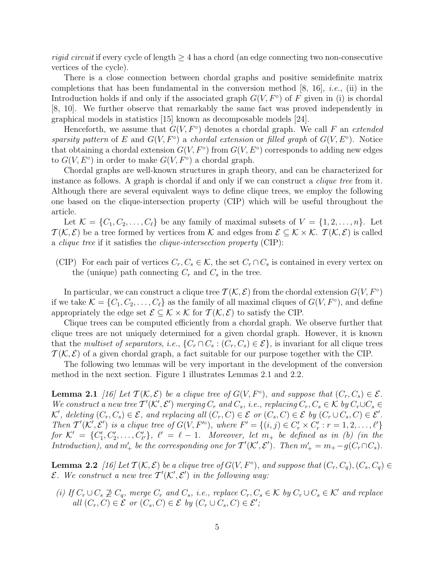rigid circuit if every cycle of length  $\geq 4$  has a chord (an edge connecting two non-consecutive vertices of the cycle).

There is a close connection between chordal graphs and positive semidefinite matrix completions that has been fundamental in the conversion method  $[8, 16]$ , *i.e.*, (ii) in the Introduction holds if and only if the associated graph  $G(V, F^{\circ})$  of F given in (i) is chordal [8, 10]. We further observe that remarkably the same fact was proved independently in graphical models in statistics [15] known as decomposable models [24].

Henceforth, we assume that  $G(V, F^{\circ})$  denotes a chordal graph. We call F an extended sparsity pattern of E and  $G(V, F^{\circ})$  a chordal extension or filled graph of  $G(V, E^{\circ})$ . Notice that obtaining a chordal extension  $G(V, F^{\circ})$  from  $G(V, E^{\circ})$  corresponds to adding new edges to  $G(V, E^{\circ})$  in order to make  $G(V, F^{\circ})$  a chordal graph.

Chordal graphs are well-known structures in graph theory, and can be characterized for instance as follows. A graph is chordal if and only if we can construct a *clique tree* from it. Although there are several equivalent ways to define clique trees, we employ the following one based on the clique-intersection property (CIP) which will be useful throughout the article.

Let  $\mathcal{K} = \{C_1, C_2, \ldots, C_\ell\}$  be any family of maximal subsets of  $V = \{1, 2, \ldots, n\}$ . Let  $T(K,\mathcal{E})$  be a tree formed by vertices from K and edges from  $\mathcal{E} \subseteq K \times K$ .  $T(K,\mathcal{E})$  is called a clique tree if it satisfies the clique-intersection property (CIP):

(CIP) For each pair of vertices  $C_r, C_s \in \mathcal{K}$ , the set  $C_r \cap C_s$  is contained in every vertex on the (unique) path connecting  $C_r$  and  $C_s$  in the tree.

In particular, we can construct a clique tree  $\mathcal{T}(\mathcal{K}, \mathcal{E})$  from the chordal extension  $G(V, F^{\circ})$ if we take  $\mathcal{K} = \{C_1, C_2, \ldots, C_\ell\}$  as the family of all maximal cliques of  $G(V, F^{\circ})$ , and define appropriately the edge set  $\mathcal{E} \subseteq \mathcal{K} \times \mathcal{K}$  for  $\mathcal{T}(\mathcal{K}, \mathcal{E})$  to satisfy the CIP.

Clique trees can be computed efficiently from a chordal graph. We observe further that clique trees are not uniquely determined for a given chordal graph. However, it is known that the multiset of separators, i.e.,  $\{C_r \cap C_s : (C_r, C_s) \in \mathcal{E}\}\)$ , is invariant for all clique trees  $\mathcal{T}(\mathcal{K}, \mathcal{E})$  of a given chordal graph, a fact suitable for our purpose together with the CIP.

The following two lemmas will be very important in the development of the conversion method in the next section. Figure 1 illustrates Lemmas 2.1 and 2.2.

**Lemma 2.1** [16] Let  $\mathcal{T}(\mathcal{K}, \mathcal{E})$  be a clique tree of  $G(V, F^{\circ})$ , and suppose that  $(C_r, C_s) \in \mathcal{E}$ . We construct a new tree  $T'(\mathcal{K}', \mathcal{E}')$  merging  $C_r$  and  $C_s$ , i.e., replacing  $C_r$ ,  $C_s \in \mathcal{K}$  by  $C_r \cup C_s \in \mathcal{K}$ K', deleting  $(C_r, C_s) \in \mathcal{E}$ , and replacing all  $(C_r, C) \in \mathcal{E}$  or  $(C_s, C) \in \mathcal{E}$  by  $(C_r \cup C_s, C) \in \mathcal{E}'$ . Then  $\mathcal{T}'(\mathcal{K}',\mathcal{E}')$  is a clique tree of  $G(V,F'')$ , where  $F' = \{(i,j) \in C'_r \times C'_r : r = 1,2,\ldots,\ell'\}$ for  $\mathcal{K}' = \{C'_1, C'_2, \ldots, C'_{\ell'}\}, \ell' = \ell - 1$ . Moreover, let  $m_+$  be defined as in (b) (in the Introduction), and  $m'_+$  be the corresponding one for  $T'(\mathcal{K}', \mathcal{E}')$ . Then  $m'_+ = m_+ - g(C_r \cap C_s)$ .

**Lemma 2.2** [16] Let  $\mathcal{T}(\mathcal{K}, \mathcal{E})$  be a clique tree of  $G(V, F^{\circ})$ , and suppose that  $(C_r, C_q), (C_s, C_q) \in$  $\mathcal{E}.$  We construct a new tree  $\mathcal{T}'(\mathcal{K}', \mathcal{E}')$  in the following way:

(i) If  $C_r \cup C_s \not\supseteq C_q$ , merge  $C_r$  and  $C_s$ , i.e., replace  $C_r, C_s \in \mathcal{K}$  by  $C_r \cup C_s \in \mathcal{K}'$  and replace all  $(C_r, C) \in \mathcal{E}$  or  $(C_s, C) \in \mathcal{E}$  by  $(C_r \cup C_s, C) \in \mathcal{E}'$ ;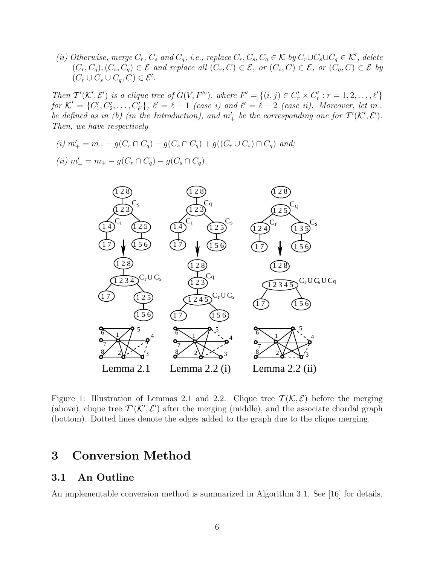(ii) Otherwise, merge  $C_r$ ,  $C_s$  and  $C_q$ , i.e., replace  $C_r$ ,  $C_s$ ,  $C_q \in K$  by  $C_r \cup C_s \cup C_q \in K'$ , delete  $(C_r, C_q), (C_s, C_q) \in \mathcal{E}$  and replace all  $(C_r, C) \in \mathcal{E}$ , or  $(C_s, C) \in \mathcal{E}$ , or  $(C_q, C) \in \mathcal{E}$  by  $(C_r \cup C_s \cup C_q, C) \in \mathcal{E}'$ .

Then  $\mathcal{T}'(\mathcal{K}',\mathcal{E}')$  is a clique tree of  $G(V,F'')$ , where  $F' = \{(i,j) \in C'_r \times C'_r : r = 1,2,\ldots,\ell'\}$ for  $\mathcal{K}' = \{C'_1, C'_2, \ldots, C'_{\ell'}\}, \ell' = \ell - 1$  (case i) and  $\ell' = \ell - 2$  (case ii). Moreover, let  $m_+$ be defined as in (b) (in the Introduction), and  $m'_+$  be the corresponding one for  $T'(\mathcal{K}',\mathcal{E}')$ . Then, we have respectively

(i)  $m'_{+} = m_{+} - g(C_{r} \cap C_{q}) - g(C_{s} \cap C_{q}) + g((C_{r} \cup C_{s}) \cap C_{q})$  and; (ii)  $m'_+ = m_+ - g(C_r \cap C_q) - g(C_s \cap C_q)$ .



Figure 1: Illustration of Lemmas 2.1 and 2.2. Clique tree  $\mathcal{T}(\mathcal{K}, \mathcal{E})$  before the merging (above), clique tree  $\mathcal{T}'(\mathcal{K}', \mathcal{E}')$  after the merging (middle), and the associate chordal graph (bottom). Dotted lines denote the edges added to the graph due to the clique merging.

### 3 Conversion Method

#### 3.1 An Outline

An implementable conversion method is summarized in Algorithm 3.1. See [16] for details.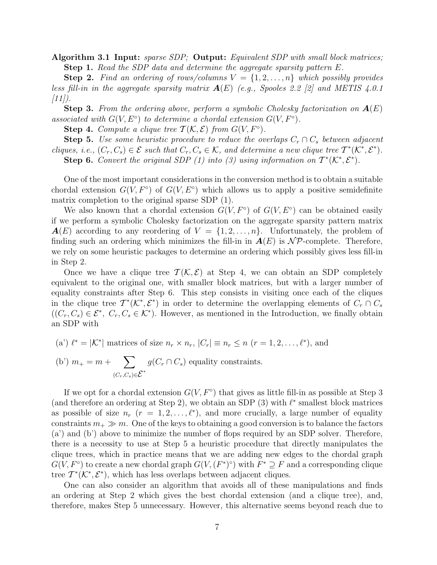Algorithm 3.1 Input: sparse SDP; Output: Equivalent SDP with small block matrices; **Step 1.** Read the SDP data and determine the aggregate sparsity pattern  $E$ .

**Step 2.** Find an ordering of rows/columns  $V = \{1, 2, ..., n\}$  which possibly provides less fill-in in the aggregate sparsity matrix  $A(E)$  (e.g., Spooles 2.2 [2] and METIS 4.0.1  $[11]$ .

**Step 3.** From the ordering above, perform a symbolic Cholesky factorization on  $A(E)$ associated with  $G(V, E^{\circ})$  to determine a chordal extension  $G(V, F^{\circ})$ .

**Step 4.** Compute a clique tree  $T(K, \mathcal{E})$  from  $G(V, F^{\circ})$ .

**Step 5.** Use some heuristic procedure to reduce the overlaps  $C_r \cap C_s$  between adjacent cliques, i.e.,  $(C_r, C_s) \in \mathcal{E}$  such that  $C_r, C_s \in \mathcal{K}$ , and determine a new clique tree  $\mathcal{T}^*(\mathcal{K}^*, \mathcal{E}^*)$ . Step 6. Convert the original SDP (1) into (3) using information on  $T^*(\mathcal{K}^*, \mathcal{E}^*)$ .

One of the most important considerations in the conversion method is to obtain a suitable chordal extension  $G(V, F^{\circ})$  of  $G(V, E^{\circ})$  which allows us to apply a positive semidefinite matrix completion to the original sparse SDP (1).

We also known that a chordal extension  $G(V, F^{\circ})$  of  $G(V, E^{\circ})$  can be obtained easily if we perform a symbolic Cholesky factorization on the aggregate sparsity pattern matrix  $A(E)$  according to any reordering of  $V = \{1, 2, \ldots, n\}$ . Unfortunately, the problem of finding such an ordering which minimizes the fill-in in  $A(E)$  is  $N\mathcal{P}$ -complete. Therefore, we rely on some heuristic packages to determine an ordering which possibly gives less fill-in in Step 2.

Once we have a clique tree  $\mathcal{T}(\mathcal{K}, \mathcal{E})$  at Step 4, we can obtain an SDP completely equivalent to the original one, with smaller block matrices, but with a larger number of equality constraints after Step 6. This step consists in visiting once each of the cliques in the clique tree  $\mathcal{T}^*(\mathcal{K}^*, \mathcal{E}^*)$  in order to determine the overlapping elements of  $C_r \cap C_s$  $((C_r, C_s) \in \mathcal{E}^*, C_r, C_s \in \mathcal{K}^*).$  However, as mentioned in the Introduction, we finally obtain an SDP with

(a') 
$$
\ell^* = |\mathcal{K}^*|
$$
 matrices of size  $n_r \times n_r$ ,  $|C_r| \equiv n_r \le n$   $(r = 1, 2, ..., \ell^*)$ , and

(b')  $m_+ = m + \sum$  $\sum_{(C_r, C_s) \in \mathcal{E}^*} g(C_r \cap C_s)$  equality constraints.

If we opt for a chordal extension  $G(V, F^{\circ})$  that gives as little fill-in as possible at Step 3 (and therefore an ordering at Step 2), we obtain an SDP  $(3)$  with  $\ell^*$  smallest block matrices as possible of size  $n_r$   $(r = 1, 2, \ldots, \ell^*)$ , and more crucially, a large number of equality constraints  $m_+ \gg m$ . One of the keys to obtaining a good conversion is to balance the factors (a') and (b') above to minimize the number of flops required by an SDP solver. Therefore, there is a necessity to use at Step 5 a heuristic procedure that directly manipulates the clique trees, which in practice means that we are adding new edges to the chordal graph  $G(V, F^{\circ})$  to create a new chordal graph  $G(V, (F^*)^{\circ})$  with  $F^* \supseteq F$  and a corresponding clique tree  $T^*(\mathcal{K}^*, \mathcal{E}^*)$ , which has less overlaps between adjacent cliques.

One can also consider an algorithm that avoids all of these manipulations and finds an ordering at Step 2 which gives the best chordal extension (and a clique tree), and, therefore, makes Step 5 unnecessary. However, this alternative seems beyond reach due to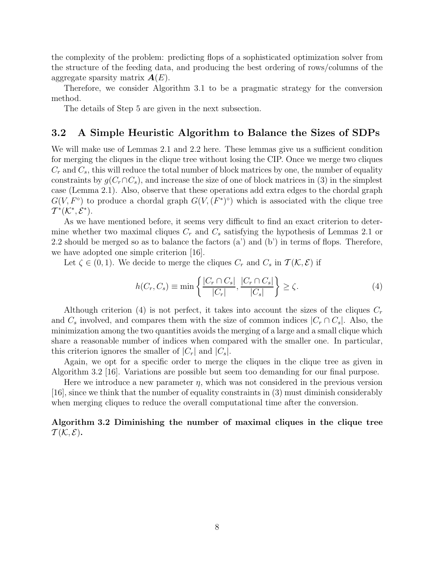the complexity of the problem: predicting flops of a sophisticated optimization solver from the structure of the feeding data, and producing the best ordering of rows/columns of the aggregate sparsity matrix  $A(E)$ .

Therefore, we consider Algorithm 3.1 to be a pragmatic strategy for the conversion method.

The details of Step 5 are given in the next subsection.

#### 3.2 A Simple Heuristic Algorithm to Balance the Sizes of SDPs

We will make use of Lemmas 2.1 and 2.2 here. These lemmas give us a sufficient condition for merging the cliques in the clique tree without losing the CIP. Once we merge two cliques  $C_r$  and  $C_s$ , this will reduce the total number of block matrices by one, the number of equality constraints by  $g(C_r \cap C_s)$ , and increase the size of one of block matrices in (3) in the simplest case (Lemma 2.1). Also, observe that these operations add extra edges to the chordal graph  $G(V, F^{\circ})$  to produce a chordal graph  $G(V, (F^{\ast})^{\circ})$  which is associated with the clique tree  $\mathcal{T}^*(\mathcal{K}^*, \mathcal{E}^*)$ .

As we have mentioned before, it seems very difficult to find an exact criterion to determine whether two maximal cliques  $C_r$  and  $C_s$  satisfying the hypothesis of Lemmas 2.1 or 2.2 should be merged so as to balance the factors  $(a')$  and  $(b')$  in terms of flops. Therefore, we have adopted one simple criterion [16].

Let  $\zeta \in (0, 1)$ . We decide to merge the cliques  $C_r$  and  $C_s$  in  $\mathcal{T}(\mathcal{K}, \mathcal{E})$  if

$$
h(C_r, C_s) \equiv \min\left\{ \frac{|C_r \cap C_s|}{|C_r|}, \frac{|C_r \cap C_s|}{|C_s|} \right\} \ge \zeta.
$$
\n<sup>(4)</sup>

Although criterion (4) is not perfect, it takes into account the sizes of the cliques  $C_r$ and  $C_s$  involved, and compares them with the size of common indices  $|C_r \cap C_s|$ . Also, the minimization among the two quantities avoids the merging of a large and a small clique which share a reasonable number of indices when compared with the smaller one. In particular, this criterion ignores the smaller of  $|C_r|$  and  $|C_s|$ .

Again, we opt for a specific order to merge the cliques in the clique tree as given in Algorithm 3.2 [16]. Variations are possible but seem too demanding for our final purpose.

Here we introduce a new parameter  $\eta$ , which was not considered in the previous version [16], since we think that the number of equality constraints in (3) must diminish considerably when merging cliques to reduce the overall computational time after the conversion.

Algorithm 3.2 Diminishing the number of maximal cliques in the clique tree  $\mathcal{T}(\mathcal{K},\mathcal{E})$ .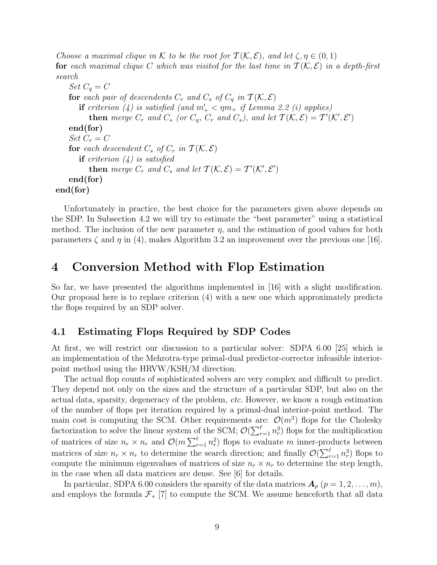Choose a maximal clique in K to be the root for  $\mathcal{T}(\mathcal{K}, \mathcal{E})$ , and let  $\zeta, \eta \in (0, 1)$ for each maximal clique C which was visited for the last time in  $\mathcal{T}(\mathcal{K}, \mathcal{E})$  in a depth-first search

Set  $C_q = C$ for each pair of descendents  $C_r$  and  $C_s$  of  $C_q$  in  $\mathcal{T}(\mathcal{K}, \mathcal{E})$ **if** criterion (4) is satisfied (and  $m'_{+} < \eta m_{+}$  if Lemma 2.2 (i) applies) **then** merge  $C_r$  and  $C_s$  (or  $C_q$ ,  $C_r$  and  $C_s$ ), and let  $\mathcal{T}(\mathcal{K}, \mathcal{E}) = \mathcal{T}'(\mathcal{K}', \mathcal{E}')$ end(for) Set  $C_r = C$ for each descendent  $C_s$  of  $C_r$  in  $\mathcal{T}(\mathcal{K}, \mathcal{E})$ **if** criterion  $(4)$  is satisfied **then** merge  $C_r$  and  $C_s$  and let  $\mathcal{T}(\mathcal{K}, \mathcal{E}) = \mathcal{T}'(\mathcal{K}', \mathcal{E}')$ end(for) end(for)

Unfortunately in practice, the best choice for the parameters given above depends on the SDP. In Subsection 4.2 we will try to estimate the "best parameter" using a statistical method. The inclusion of the new parameter  $\eta$ , and the estimation of good values for both parameters  $\zeta$  and  $\eta$  in (4), makes Algorithm 3.2 an improvement over the previous one [16].

### 4 Conversion Method with Flop Estimation

So far, we have presented the algorithms implemented in [16] with a slight modification. Our proposal here is to replace criterion (4) with a new one which approximately predicts the flops required by an SDP solver.

#### 4.1 Estimating Flops Required by SDP Codes

At first, we will restrict our discussion to a particular solver: SDPA 6.00 [25] which is an implementation of the Mehrotra-type primal-dual predictor-corrector infeasible interiorpoint method using the HRVW/KSH/M direction.

The actual flop counts of sophisticated solvers are very complex and difficult to predict. They depend not only on the sizes and the structure of a particular SDP, but also on the actual data, sparsity, degeneracy of the problem, etc. However, we know a rough estimation of the number of flops per iteration required by a primal-dual interior-point method. The main cost is computing the SCM. Other requirements are:  $\mathcal{O}(m^3)$  flops for the Cholesky factorization to solve the linear system of the SCM;  $\mathcal{O}(\sum_{r=1}^{\ell} n_r^3)$  flops for the multiplication of matrices of size  $n_r \times n_r$  and  $\mathcal{O}(m \sum_{r=1}^{\ell} n_r^2)$  flops to evaluate m inner-products between matrices of size  $n_r \times n_r$  to determine the search direction; and finally  $\mathcal{O}(\sum_{r=1}^{\ell} n_r^3)$  flops to compute the minimum eigenvalues of matrices of size  $n_r \times n_r$  to determine the step length, in the case when all data matrices are dense. See [6] for details.

In particular, SDPA 6.00 considers the sparsity of the data matrices  $\mathbf{A}_p$   $(p = 1, 2, \ldots, m)$ , and employs the formula  $\mathcal{F}_*$  [7] to compute the SCM. We assume henceforth that all data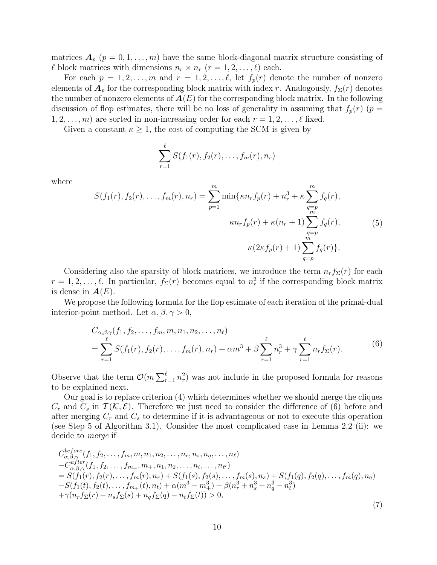matrices  $\mathbf{A}_p$   $(p = 0, 1, \ldots, m)$  have the same block-diagonal matrix structure consisting of  $\ell$  block matrices with dimensions  $n_r \times n_r$   $(r = 1, 2, \ldots, \ell)$  each.

For each  $p = 1, 2, ..., m$  and  $r = 1, 2, ..., \ell$ , let  $f_p(r)$  denote the number of nonzero elements of  $\mathbf{A}_p$  for the corresponding block matrix with index r. Analogously,  $f_\Sigma(r)$  denotes the number of nonzero elements of  $A(E)$  for the corresponding block matrix. In the following discussion of flop estimates, there will be no loss of generality in assuming that  $f_p(r)$  ( $p =$  $1, 2, \ldots, m$  are sorted in non-increasing order for each  $r = 1, 2, \ldots, \ell$  fixed.

Given a constant  $\kappa \geq 1$ , the cost of computing the SCM is given by

$$
\sum_{r=1}^{\ell} S(f_1(r), f_2(r), \ldots, f_m(r), n_r)
$$

where

$$
S(f_1(r), f_2(r), \dots, f_m(r), n_r) = \sum_{p=1}^m \min\{\kappa n_r f_p(r) + n_r^3 + \kappa \sum_{q=p}^m f_q(r),
$$
  

$$
\kappa n_r f_p(r) + \kappa (n_r + 1) \sum_{\substack{q=p\\m\\m}}^m f_q(r),
$$
 (5)  

$$
\kappa (2\kappa f_p(r) + 1) \sum_{q=p}^m f_q(r) \}.
$$

Considering also the sparsity of block matrices, we introduce the term  $n_r f_{\Sigma}(r)$  for each  $r = 1, 2, \ldots, \ell$ . In particular,  $f_{\Sigma}(r)$  becomes equal to  $n_r^2$  if the corresponding block matrix is dense in  $A(E)$ .

We propose the following formula for the flop estimate of each iteration of the primal-dual interior-point method. Let  $\alpha, \beta, \gamma > 0$ ,

$$
C_{\alpha,\beta,\gamma}(f_1, f_2, \dots, f_m, m, n_1, n_2, \dots, n_\ell)
$$
  
= 
$$
\sum_{r=1}^{\ell} S(f_1(r), f_2(r), \dots, f_m(r), n_r) + \alpha m^3 + \beta \sum_{r=1}^{\ell} n_r^3 + \gamma \sum_{r=1}^{\ell} n_r f_\Sigma(r).
$$
 (6)

Observe that the term  $\mathcal{O}(m \sum_{r=1}^{\ell} n_r^2)$  was not include in the proposed formula for reasons to be explained next.

Our goal is to replace criterion (4) which determines whether we should merge the cliques  $C_r$  and  $C_s$  in  $\mathcal{T}(\mathcal{K}, \mathcal{E})$ . Therefore we just need to consider the difference of (6) before and after merging  $C_r$  and  $C_s$  to determine if it is advantageous or not to execute this operation (see Step 5 of Algorithm 3.1). Consider the most complicated case in Lemma 2.2 (ii): we decide to merge if

$$
C_{\alpha,\beta,\gamma}^{before}(f_1, f_2, \ldots, f_m, m, n_1, n_2, \ldots, n_r, n_s, n_q, \ldots, n_\ell) - C_{\alpha,\beta,\gamma}^{after}(f_1, f_2, \ldots, f_{m_+}, m_+, n_1, n_2, \ldots, n_t, \ldots, n_{\ell'}) = S(f_1(r), f_2(r), \ldots, f_m(r), n_r) + S(f_1(s), f_2(s), \ldots, f_m(s), n_s) + S(f_1(q), f_2(q), \ldots, f_m(q), n_q) - S(f_1(t), f_2(t), \ldots, f_{m_+}(t), n_t) + \alpha(m^3 - m_+^3) + \beta(n_r^3 + n_s^3 + n_q^3 - n_t^3) + \gamma(n_r f_\Sigma(r) + n_s f_\Sigma(s) + n_q f_\Sigma(q) - n_t f_\Sigma(t)) > 0,
$$
\n(7)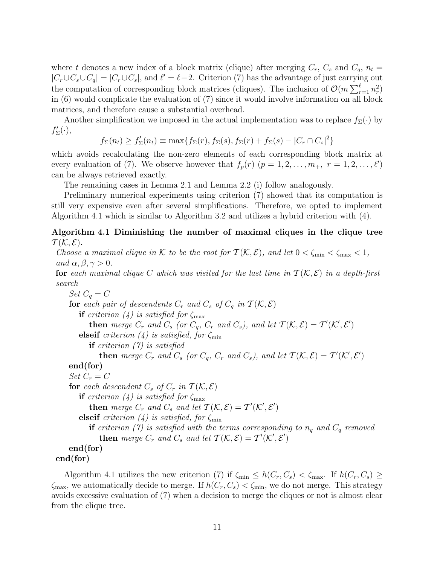where t denotes a new index of a block matrix (clique) after merging  $C_r$ ,  $C_s$  and  $C_q$ ,  $n_t =$  $|C_r \cup C_s \cup C_q| = |C_r \cup C_s|$ , and  $\ell' = \ell - 2$ . Criterion (7) has the advantage of just carrying out the computation of corresponding block matrices (cliques). The inclusion of  $\mathcal{O}(m \sum_{r=1}^{\ell} n_r^2)$ in (6) would complicate the evaluation of (7) since it would involve information on all block matrices, and therefore cause a substantial overhead.

Another simplification we imposed in the actual implementation was to replace  $f_{\Sigma}(\cdot)$  by  $f'_{\Sigma}(\cdot),$ 

 $f_{\Sigma}(n_t) \ge f'_{\Sigma}(n_t) \equiv \max\{f_{\Sigma}(r), f_{\Sigma}(s), f_{\Sigma}(r) + f_{\Sigma}(s) - |C_r \cap C_s|^2\}$ 

which avoids recalculating the non-zero elements of each corresponding block matrix at every evaluation of (7). We observe however that  $f_p(r)$   $(p = 1, 2, \ldots, m_+, r = 1, 2, \ldots, \ell')$ can be always retrieved exactly.

The remaining cases in Lemma 2.1 and Lemma 2.2 (i) follow analogously.

Preliminary numerical experiments using criterion (7) showed that its computation is still very expensive even after several simplifications. Therefore, we opted to implement Algorithm 4.1 which is similar to Algorithm 3.2 and utilizes a hybrid criterion with (4).

#### Algorithm 4.1 Diminishing the number of maximal cliques in the clique tree  $\mathcal{T}(\mathcal{K},\mathcal{E})$ .

Choose a maximal clique in K to be the root for  $\mathcal{T}(\mathcal{K}, \mathcal{E})$ , and let  $0 < \zeta_{\min} < \zeta_{\max} < 1$ , and  $\alpha, \beta, \gamma > 0$ . for each maximal clique C which was visited for the last time in  $T(\mathcal{K}, \mathcal{E})$  in a depth-first search Set  $C_q = C$ for each pair of descendents  $C_r$  and  $C_s$  of  $C_q$  in  $\mathcal{T}(\mathcal{K}, \mathcal{E})$ if criterion (4) is satisfied for  $\zeta_{\text{max}}$ **then** merge  $C_r$  and  $C_s$  (or  $C_q$ ,  $C_r$  and  $C_s$ ), and let  $\mathcal{T}(\mathcal{K}, \mathcal{E}) = \mathcal{T}'(\mathcal{K}', \mathcal{E}')$ elseif criterion (4) is satisfied, for  $\zeta_{\min}$ if criterion (7) is satisfied **then** merge  $C_r$  and  $C_s$  (or  $C_q$ ,  $C_r$  and  $C_s$ ), and let  $\mathcal{T}(\mathcal{K}, \mathcal{E}) = \mathcal{T}'(\mathcal{K}', \mathcal{E}')$ end(for) Set  $C_r = C$ for each descendent  $C_s$  of  $C_r$  in  $\mathcal{T}(\mathcal{K}, \mathcal{E})$ if criterion (4) is satisfied for  $\zeta_{\text{max}}$ **then** merge  $C_r$  and  $C_s$  and let  $\mathcal{T}(\mathcal{K}, \mathcal{E}) = \mathcal{T}'(\mathcal{K}', \mathcal{E}')$ elseif criterion (4) is satisfied, for  $\zeta_{\min}$ if criterion (7) is satisfied with the terms corresponding to  $n_q$  and  $C_q$  removed then merge  $C_r$  and  $C_s$  and let  $\mathcal{T}(\mathcal{K}, \mathcal{E}) = \mathcal{T}'(\mathcal{K}', \mathcal{E}')$ end(for) end(for)

Algorithm 4.1 utilizes the new criterion (7) if  $\zeta_{\min} \leq h(C_r, C_s) < \zeta_{\max}$ . If  $h(C_r, C_s) \geq$  $\zeta_{\text{max}}$ , we automatically decide to merge. If  $h(C_r, C_s) < \zeta_{\text{min}}$ , we do not merge. This strategy avoids excessive evaluation of (7) when a decision to merge the cliques or not is almost clear from the clique tree.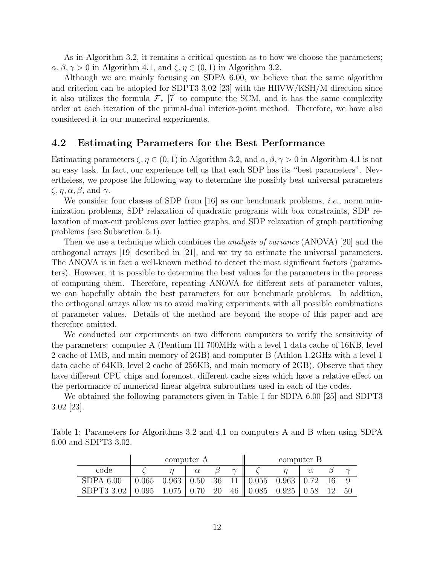As in Algorithm 3.2, it remains a critical question as to how we choose the parameters;  $\alpha, \beta, \gamma > 0$  in Algorithm 4.1, and  $\zeta, \eta \in (0, 1)$  in Algorithm 3.2.

Although we are mainly focusing on SDPA 6.00, we believe that the same algorithm and criterion can be adopted for SDPT3 3.02 [23] with the HRVW/KSH/M direction since it also utilizes the formula  $\mathcal{F}_*$  [7] to compute the SCM, and it has the same complexity order at each iteration of the primal-dual interior-point method. Therefore, we have also considered it in our numerical experiments.

#### 4.2 Estimating Parameters for the Best Performance

Estimating parameters  $\zeta, \eta \in (0, 1)$  in Algorithm 3.2, and  $\alpha, \beta, \gamma > 0$  in Algorithm 4.1 is not an easy task. In fact, our experience tell us that each SDP has its "best parameters". Nevertheless, we propose the following way to determine the possibly best universal parameters  $\zeta$ ,  $\eta$ ,  $\alpha$ ,  $\beta$ , and  $\gamma$ .

We consider four classes of SDP from [16] as our benchmark problems, *i.e.*, norm minimization problems, SDP relaxation of quadratic programs with box constraints, SDP relaxation of max-cut problems over lattice graphs, and SDP relaxation of graph partitioning problems (see Subsection 5.1).

Then we use a technique which combines the *analysis of variance* (ANOVA) [20] and the orthogonal arrays [19] described in [21], and we try to estimate the universal parameters. The ANOVA is in fact a well-known method to detect the most significant factors (parameters). However, it is possible to determine the best values for the parameters in the process of computing them. Therefore, repeating ANOVA for different sets of parameter values, we can hopefully obtain the best parameters for our benchmark problems. In addition, the orthogonal arrays allow us to avoid making experiments with all possible combinations of parameter values. Details of the method are beyond the scope of this paper and are therefore omitted.

We conducted our experiments on two different computers to verify the sensitivity of the parameters: computer A (Pentium III 700MHz with a level 1 data cache of 16KB, level 2 cache of 1MB, and main memory of 2GB) and computer B (Athlon 1.2GHz with a level 1 data cache of 64KB, level 2 cache of 256KB, and main memory of 2GB). Observe that they have different CPU chips and foremost, different cache sizes which have a relative effect on the performance of numerical linear algebra subroutines used in each of the codes.

We obtained the following parameters given in Table 1 for SDPA 6.00 [25] and SDPT3 3.02 [23].

| Table 1: Parameters for Algorithms 3.2 and 4.1 on computers A and B when using SDPA |  |  |  |  |  |  |
|-------------------------------------------------------------------------------------|--|--|--|--|--|--|
| 6.00 and SDPT3 3.02.                                                                |  |  |  |  |  |  |

|                                                                   |  | computer A |        |                                                                                                    | computer B |  |
|-------------------------------------------------------------------|--|------------|--------|----------------------------------------------------------------------------------------------------|------------|--|
| code                                                              |  |            | $\sim$ |                                                                                                    |            |  |
| $SDPA$ 6.00                                                       |  |            |        | $\vert 0.065 \quad 0.963 \vert 0.50 \quad 36 \quad 11 \vert 0.055 \quad 0.963 \vert 0.72 \quad 16$ |            |  |
| SDPT3 3.02   0.095 1.075   0.70 20 46    0.085 0.925   0.58 12 50 |  |            |        |                                                                                                    |            |  |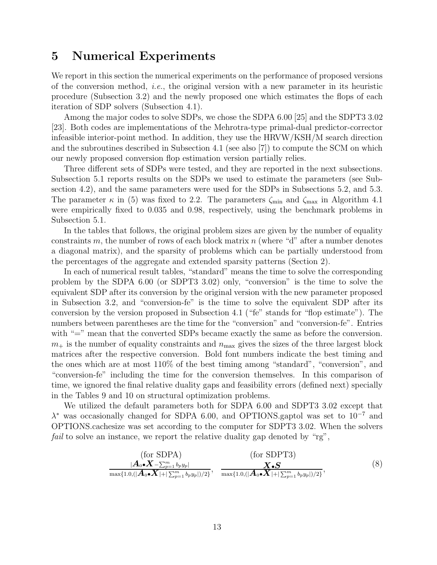### 5 Numerical Experiments

We report in this section the numerical experiments on the performance of proposed versions of the conversion method, i.e., the original version with a new parameter in its heuristic procedure (Subsection 3.2) and the newly proposed one which estimates the flops of each iteration of SDP solvers (Subsection 4.1).

Among the major codes to solve SDPs, we chose the SDPA 6.00 [25] and the SDPT3 3.02 [23]. Both codes are implementations of the Mehrotra-type primal-dual predictor-corrector infeasible interior-point method. In addition, they use the HRVW/KSH/M search direction and the subroutines described in Subsection 4.1 (see also [7]) to compute the SCM on which our newly proposed conversion flop estimation version partially relies.

Three different sets of SDPs were tested, and they are reported in the next subsections. Subsection 5.1 reports results on the SDPs we used to estimate the parameters (see Subsection 4.2), and the same parameters were used for the SDPs in Subsections 5.2, and 5.3. The parameter  $\kappa$  in (5) was fixed to 2.2. The parameters  $\zeta_{\text{min}}$  and  $\zeta_{\text{max}}$  in Algorithm 4.1 were empirically fixed to 0.035 and 0.98, respectively, using the benchmark problems in Subsection 5.1.

In the tables that follows, the original problem sizes are given by the number of equality constraints m, the number of rows of each block matrix  $n$  (where "d" after a number denotes a diagonal matrix), and the sparsity of problems which can be partially understood from the percentages of the aggregate and extended sparsity patterns (Section 2).

In each of numerical result tables, "standard" means the time to solve the corresponding problem by the SDPA 6.00 (or SDPT3 3.02) only, "conversion" is the time to solve the equivalent SDP after its conversion by the original version with the new parameter proposed in Subsection 3.2, and "conversion-fe" is the time to solve the equivalent SDP after its conversion by the version proposed in Subsection 4.1 ("fe" stands for "flop estimate"). The numbers between parentheses are the time for the "conversion" and "conversion-fe". Entries with "=" mean that the converted SDPs became exactly the same as before the conversion.  $m_{+}$  is the number of equality constraints and  $n_{\text{max}}$  gives the sizes of the three largest block matrices after the respective conversion. Bold font numbers indicate the best timing and the ones which are at most 110% of the best timing among "standard", "conversion", and "conversion-fe" including the time for the conversion themselves. In this comparison of time, we ignored the final relative duality gaps and feasibility errors (defined next) specially in the Tables 9 and 10 on structural optimization problems.

We utilized the default parameters both for SDPA 6.00 and SDPT3 3.02 except that λ <sup>∗</sup> was occasionally changed for SDPA 6.00, and OPTIONS.gaptol was set to 10<sup>−</sup><sup>7</sup> and OPTIONS.cachesize was set according to the computer for SDPT3 3.02. When the solvers fail to solve an instance, we report the relative duality gap denoted by "rg",

$$
\frac{\text{(for SDPA)}}{\max\{1.0, (|\boldsymbol{A}_0 \bullet \boldsymbol{X}| + |\sum_{p=1}^m b_p y_p|)/2\}}, \quad \frac{\text{(for SDPT3)}}{\max\{1.0, (|\boldsymbol{A}_0 \bullet \boldsymbol{X}| + |\sum_{p=1}^m b_p y_p|)/2\}}, \quad \frac{\boldsymbol{X} \bullet \boldsymbol{S}}{\max\{1.0, (|\boldsymbol{A}_0 \bullet \boldsymbol{X}| + |\sum_{p=1}^m b_p y_p|)/2\}}, \quad (8)
$$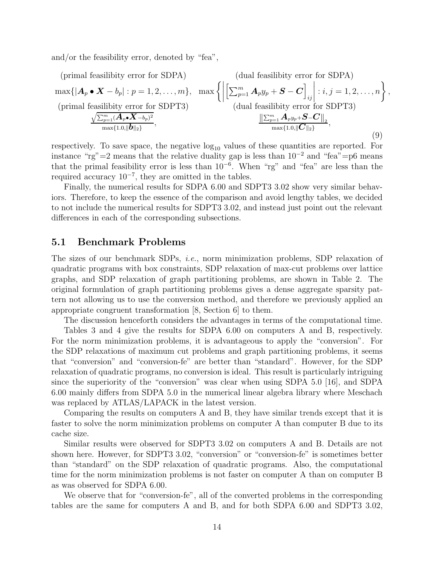and/or the feasibility error, denoted by "fea",

(primal feasibility error for SDPA)

\n
$$
\max\{|A_p \bullet X - b_p| : p = 1, 2, \ldots, m\}, \quad \max\left\{ \left| \left[ \sum_{p=1}^m A_p y_p + S - C \right]_{ij} \right| : i, j = 1, 2, \ldots, n \right\}
$$
\n(primal feasibility error for SDPT3)

\n
$$
\frac{\sqrt{\sum_{p=1}^m (A_p \bullet X - b_p)^2}}{\max\{1.0, \|\mathbf{b}\|_2\}}, \quad \max\left\{ \frac{\|\sum_{p=1}^m A_p y_p + S - C\|_2}{\max\{1.0, \|\mathbf{C}\|_2\}}, \ldots, \frac{\|\sum_{p=1}^m A_p y_p + S - C\|_2}{\max\{1.0, \|\mathbf{C}\|_2\}}, \ldots, \frac{\|\mathbf{b}\|_2}{\max\{1.0, \|\mathbf{C}\|_2\}} \right\}
$$
\n(9)

,

respectively. To save space, the negative  $log_{10}$  values of these quantities are reported. For instance "rg"=2 means that the relative duality gap is less than  $10^{-2}$  and "fea"=p6 means that the primal feasibility error is less than 10<sup>−</sup><sup>6</sup> . When "rg" and "fea" are less than the required accuracy  $10^{-7}$ , they are omitted in the tables.

Finally, the numerical results for SDPA 6.00 and SDPT3 3.02 show very similar behaviors. Therefore, to keep the essence of the comparison and avoid lengthy tables, we decided to not include the numerical results for SDPT3 3.02, and instead just point out the relevant differences in each of the corresponding subsections.

#### 5.1 Benchmark Problems

The sizes of our benchmark SDPs, i.e., norm minimization problems, SDP relaxation of quadratic programs with box constraints, SDP relaxation of max-cut problems over lattice graphs, and SDP relaxation of graph partitioning problems, are shown in Table 2. The original formulation of graph partitioning problems gives a dense aggregate sparsity pattern not allowing us to use the conversion method, and therefore we previously applied an appropriate congruent transformation [8, Section 6] to them.

The discussion henceforth considers the advantages in terms of the computational time.

Tables 3 and 4 give the results for SDPA 6.00 on computers A and B, respectively. For the norm minimization problems, it is advantageous to apply the "conversion". For the SDP relaxations of maximum cut problems and graph partitioning problems, it seems that "conversion" and "conversion-fe" are better than "standard". However, for the SDP relaxation of quadratic programs, no conversion is ideal. This result is particularly intriguing since the superiority of the "conversion" was clear when using SDPA 5.0 [16], and SDPA 6.00 mainly differs from SDPA 5.0 in the numerical linear algebra library where Meschach was replaced by ATLAS/LAPACK in the latest version.

Comparing the results on computers A and B, they have similar trends except that it is faster to solve the norm minimization problems on computer A than computer B due to its cache size.

Similar results were observed for SDPT3 3.02 on computers A and B. Details are not shown here. However, for SDPT3 3.02, "conversion" or "conversion-fe" is sometimes better than "standard" on the SDP relaxation of quadratic programs. Also, the computational time for the norm minimization problems is not faster on computer A than on computer B as was observed for SDPA 6.00.

We observe that for "conversion-fe", all of the converted problems in the corresponding tables are the same for computers A and B, and for both SDPA 6.00 and SDPT3 3.02,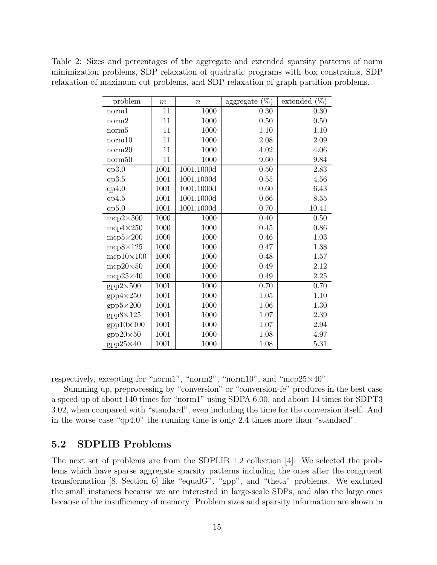Table 2: Sizes and percentages of the aggregate and extended sparsity patterns of norm minimization problems, SDP relaxation of quadratic programs with box constraints, SDP relaxation of maximum cut problems, and SDP relaxation of graph partition problems.

| problem          | $\boldsymbol{m}$ | $\boldsymbol{n}$ | (%)<br>aggregate | $(\%)$<br>extended |
|------------------|------------------|------------------|------------------|--------------------|
| norm1            | 11               | 1000             | 0.30             | 0.30               |
| norm2            | 11               | 1000             | 0.50             | 0.50               |
| norm5            | 11               | 1000             | 1.10             | $1.10\,$           |
| norm10           | 11               | 1000             | 2.08             | 2.09               |
| norm20           | 11               | 1000             | 4.02             | 4.06               |
| norm50           | 11               | 1000             | 9.60             | 9.84               |
| qp3.0            | 1001             | 1001,1000d       | 0.50             | 2.83               |
| qp3.5            | 1001             | 1001,1000d       | 0.55             | 4.56               |
| qp4.0            | 1001             | 1001,1000d       | 0.60             | 6.43               |
| qp4.5            | 1001             | 1001,1000d       | 0.66             | 8.55               |
| qp5.0            | 1001             | 1001,1000d       | 0.70             | 10.41              |
| $mcp2\times500$  | 1000             | 1000             | 0.40             | 0.50               |
| $mcp4\times250$  | 1000             | 1000             | 0.45             | 0.86               |
| $mcp5\times200$  | 1000             | 1000             | 0.46             | 1.03               |
| $mcp8\times125$  | 1000             | 1000             | 0.47             | 1.38               |
| $mcp10\times100$ | 1000             | 1000             | 0.48             | 1.57               |
| $mcp20\times50$  | 1000             | 1000             | 0.49             | 2.12               |
| $mcp25\times40$  | 1000             | 1000             | 0.49             | 2.25               |
| $gpp2\times500$  | 1001             | 1000             | 0.70             | 0.70               |
| $gpp4\times250$  | 1001             | 1000             | 1.05             | 1.10               |
| $gpp5\times200$  | 1001             | 1000             | 1.06             | 1.30               |
| $gpp8\times125$  | 1001             | 1000             | 1.07             | 2.39               |
| $gpp10\times100$ | 1001             | 1000             | 1.07             | 2.94               |
| $gpp20\times50$  | 1001             | 1000             | 1.08             | 4.97               |
| $gpp25\times40$  | 1001             | 1000             | 1.08             | 5.31               |

respectively, excepting for "norm1", "norm2", "norm10", and "mcp25 $\times$ 40".

Summing up, preprocessing by "conversion" or "conversion-fe" produces in the best case a speed-up of about 140 times for "norm1" using SDPA 6.00, and about 14 times for SDPT3 3.02, when compared with "standard", even including the time for the conversion itself. And in the worse case "qp4.0" the running time is only 2.4 times more than "standard".

#### 5.2 SDPLIB Problems

The next set of problems are from the SDPLIB 1.2 collection [4]. We selected the problems which have sparse aggregate sparsity patterns including the ones after the congruent transformation [8, Section 6] like "equalG", "gpp", and "theta" problems. We excluded the small instances because we are interested in large-scale SDPs, and also the large ones because of the insufficiency of memory. Problem sizes and sparsity information are shown in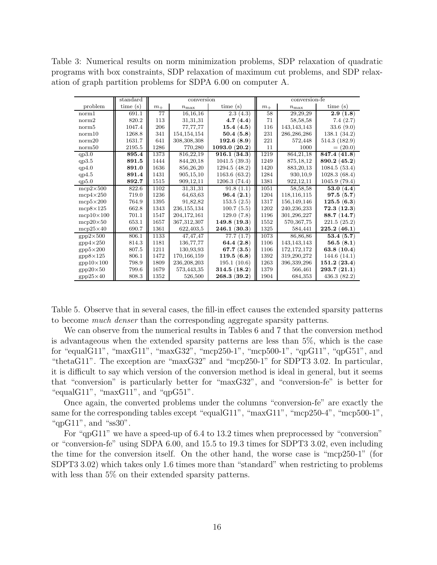Table 3: Numerical results on norm minimization problems, SDP relaxation of quadratic programs with box constraints, SDP relaxation of maximum cut problems, and SDP relaxation of graph partition problems for SDPA 6.00 on computer A.

|                            | standard |         | conversion    |                             |         | conversion-fe    |               |  |  |
|----------------------------|----------|---------|---------------|-----------------------------|---------|------------------|---------------|--|--|
| problem                    | time(s)  | $m_{+}$ | $n_{\rm max}$ | time(s)                     | $m_{+}$ | $n_{\text{max}}$ | time(s)       |  |  |
| norm1                      | 691.1    | 77      | 16, 16, 16    | 2.3(4.3)                    | 58      | 29, 29, 29       | 2.9(1.8)      |  |  |
| norm2                      | 820.2    | 113     | 31,31,31      | 4.7(4.4)                    | 71      | 58, 58, 58       | 7.4(2.7)      |  |  |
| norm <sub>5</sub>          | 1047.4   | 206     | 77,77,77      | 15.4(4.5)                   | 116     | 143, 143, 143    | 33.6(9.0)     |  |  |
| norm10                     | 1268.8   | 341     | 154, 154, 154 | 50.4(5.8)                   | 231     | 286,286,286      | 138.1(34.2)   |  |  |
| norm20                     | 1631.7   | 641     | 308,308,308   | 192.6(8.9)                  | 221     | 572,448          | 514.3 (182.9) |  |  |
| norm50                     | 2195.5   | 1286    | 770,280       | 1093.0(20.2)                | 11      | 1000             | $= (20.0)$    |  |  |
| qp3.0                      | 895.4    | 1373    | 816,22,19     | 916.1(34.3)                 | 1219    | 864, 21, 18      | 847.4(41.8)   |  |  |
| qp3.5                      | 891.5    | 1444    | 844, 20, 18   | 1041.5(39.3)                | 1249    | 875, 18, 12      | 890.2 (45.2)  |  |  |
| qp4.0                      | 891.0    | 1636    | 856,26,20     | 1294.5(48.2)                | 1420    | 883, 20, 13      | 1084.5(53.4)  |  |  |
| qp4.5                      | 891.4    | 1431    | 905, 15, 10   | 1163.6(63.2)                | 1284    | 930,10,9         | 1028.3(68.4)  |  |  |
| qp5.0                      | 892.7    | 1515    | 909,12,11     | 1206.3(74.4)                | 1381    | 922, 12, 11      | 1045.9(79.4)  |  |  |
| $mcp2\times500$            | 822.6    | 1102    | 31,31,31      | 91.8(1.1)                   | 1051    | 58,58,58         | 53.0 $(4.4)$  |  |  |
| $mcp4\times250$            | 719.0    | 1236    | 64,63,63      | 96.4(2.1)                   | 1204    | 118,116,115      | 97.5(5.7)     |  |  |
| $mcp5\times200$            | 764.9    | 1395    | 91,82,82      | 153.5(2.5)                  | 1317    | 156,149,146      | 125.5(6.3)    |  |  |
| $mcp8\times125$            | 662.8    | 1343    | 236, 155, 134 | 100.7(5.5)                  | 1202    | 240,236,233      | 72.3(12.3)    |  |  |
| $mcp10\times100$           | 701.1    | 1547    | 204,172,161   | 129.0(7.8)                  | 1196    | 301,296,227      | 88.7(14.7)    |  |  |
| $mcp20\times50$            | 653.1    | 1657    | 367,312,307   | 149.8(19.3)                 | 1552    | 570, 367, 75     | 221.5 (25.2)  |  |  |
| $mcp25\times40$            | 690.7    | 1361    | 622,403.5     | 246.1(30.3)                 | 1325    | 584,441          | 225.2(46.1)   |  |  |
| $gpp2\times 500$           | 806.1    | 1133    | 47, 47, 47    | 77.7(1.7)                   | 1073    | 86,86,86         | 53.4(5.7)     |  |  |
| $gpp4\times250$            | 814.3    | 1181    | 136,77,77     | 64.4 $(2.8)$                | 1106    | 143, 143, 143    | 56.5(8.1)     |  |  |
| $gpp5\times200$            | 807.5    | 1211    | 130,93,93     | 67.7(3.5)                   | 1106    | 172, 172, 172    | 63.8 $(10.4)$ |  |  |
| $\mathrm{gpp8}{\times}125$ | 806.1    | 1472    | 170,166,159   | 119.5(6.8)                  | 1392    | 319,290,272      | 144.6 (14.1)  |  |  |
| $gpp10\times100$           | 798.9    | 1809    | 236,208,203   | 195.1(10.6)                 | 1263    | 396,339,296      | 151.2(23.4)   |  |  |
| $gpp20\times50$            | 799.6    | 1679    | 573,443,35    | 314.5(18.2)                 | 1379    | 566.461          | 293.7(21.1)   |  |  |
| $gpp25\times40$            | 808.3    | 1352    | 526,500       | ${\bf 268.3}\;({\bf 39.2})$ | 1904    | 684,353          | 436.3(82.2)   |  |  |

Table 5. Observe that in several cases, the fill-in effect causes the extended sparsity patterns to become much denser than the corresponding aggregate sparsity patterns.

We can observe from the numerical results in Tables 6 and 7 that the conversion method is advantageous when the extended sparsity patterns are less than 5%, which is the case for "equalG11", "maxG11", "maxG32", "mcp250-1", "mcp500-1", "qpG11", "qpG51", and "thetaG11". The exception are "maxG32" and "mcp250-1" for SDPT3 3.02. In particular, it is difficult to say which version of the conversion method is ideal in general, but it seems that "conversion" is particularly better for "maxG32", and "conversion-fe" is better for "equalG11", " $maxG11$ ", and " $qpG51$ ".

Once again, the converted problems under the columns "conversion-fe" are exactly the same for the corresponding tables except "equalG11", "maxG11", "mcp250-4", "mcp500-1", "qpG11", and "ss30".

For "qpG11" we have a speed-up of 6.4 to 13.2 times when preprocessed by "conversion" or "conversion-fe" using SDPA 6.00, and 15.5 to 19.3 times for SDPT3 3.02, even including the time for the conversion itself. On the other hand, the worse case is "mcp250-1" (for SDPT3 3.02) which takes only 1.6 times more than "standard" when restricting to problems with less than 5% on their extended sparsity patterns.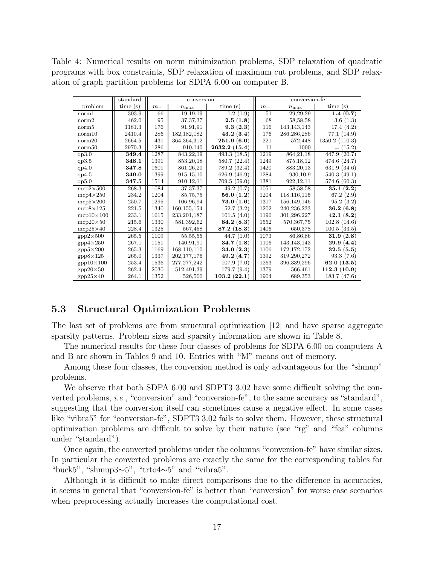Table 4: Numerical results on norm minimization problems, SDP relaxation of quadratic programs with box constraints, SDP relaxation of maximum cut problems, and SDP relaxation of graph partition problems for SDPA 6.00 on computer B.

|                   | standard  |         | conversion       |              |         | conversion-fe |                           |  |  |
|-------------------|-----------|---------|------------------|--------------|---------|---------------|---------------------------|--|--|
| problem           | time(s)   | $m_{+}$ | $n_{\text{max}}$ | time(s)      | $m_{+}$ | $n_{\rm max}$ | time(s)                   |  |  |
| norm1             | 303.9     | 66      | 19,19,19         | 1.2(1.9)     | 51      | 29,29,29      | 1.4(0.7)                  |  |  |
| norm <sub>2</sub> | 462.0     | 95      | 37, 37, 37       | 2.5(1.8)     | 68      | 58,58,58      | 3.6(1.3)                  |  |  |
| norm <sub>5</sub> | 1181.3    | 176     | 91,91,91         | 9.3(2.3)     | 116     | 143, 143, 143 | 17.4(4.2)                 |  |  |
| norm10            | 2410.4    | 286     | 182, 182, 182    | 43.2(3.4)    | 176     | 286,286,286   | 77.1 (14.9)               |  |  |
| norm20            | 2664.5    | 431     | 364, 364, 312    | 251.9(6.0)   | 221     | 572,448       | 1350.2(110.3)             |  |  |
| norm50            | 2970.3    | 1286    | 910,140          | 2632.2(15.4) | 11      | 1000          | $= (15.2)$                |  |  |
| qp3.0             | 349.4     | 1287    | 843,22,19        | 493.3(18.5)  | 1219    | 864, 21, 18   | $\overline{447.9}$ (20.7) |  |  |
| qp3.5             | 348.1     | 1391    | 853, 20, 18      | 580.7(22.4)  | 1249    | 875, 18, 12   | 474.6 (24.7)              |  |  |
| qp4.0             | 347.8     | 1601    | 861,26,20        | 789.2 (32.4) | 1420    | 883, 20, 13   | 631.9 (34.6)              |  |  |
| qp4.5             | 349.0     | 1399    | 915, 15, 10      | 626.9 (46.9) | 1284    | 930,10,9      | 540.3 (49.1)              |  |  |
| qp5.0             | 347.5     | 1514    | 910,12,11        | 709.5(59.0)  | 1381    | 922, 12, 11   | 574.6 (60.3)              |  |  |
| $mcp2\times500$   | 268.3     | 1084    | 37, 37, 37       | 49.2(0.7)    | 1051    | 58,58,58      | 35.1(2.2)                 |  |  |
| $mcp4\times250$   | 234.2     | 1204    | 85,75,75         | 56.0 $(1.2)$ | 1204    | 118,116,115   | 67.2 $(2.9)$              |  |  |
| $mcp5\times200$   | 250.7     | 1295    | 106,96,94        | 73.0(1.6)    | 1317    | 156,149,146   | 95.2(3.2)                 |  |  |
| $mcp8\times125$   | 221.5     | 1340    | 160,155,154      | 52.7(3.2)    | 1202    | 240,236,233   | 36.2 $(6.8)$              |  |  |
| $mcp10\times100$  | 233.1     | 1615    | 233, 201, 187    | 101.5(4.0)   | 1196    | 301,296,227   | 42.1(8.2)                 |  |  |
| $mcp20\times50$   | 215.6     | 1330    | 581,392,62       | 84.2(8.3)    | 1552    | 570, 367, 75  | 102.8(14.6)               |  |  |
| $mcp25\times40$   | 228.4     | 1325    | 567,458          | 87.2(18.3)   | 1406    | 650,378       | 100.5(33.5)               |  |  |
| $gpp2\times 500$  | 265.5     | 1109    | 55,55,55         | 44.7(1.0)    | 1073    | 86,86,86      | 31.9(2.8)                 |  |  |
| $gpp4\times250$   | 267.1     | 1151    | 140,91,91        | 34.7(1.8)    | 1106    | 143, 143, 143 | 29.9(4.4)                 |  |  |
| $gpp5\times200$   | 265.3     | 1169    | 168,110,110      | 34.0(2.3)    | 1106    | 172,172,172   | 32.5(5.5)                 |  |  |
| $gpp8\times125$   | $265.0\,$ | 1337    | 202,177,176      | 49.2(4.7)    | 1392    | 319,290,272   | 93.3(7.6)                 |  |  |
| $gpp10\times100$  | 253.4     | 1536    | 277, 277, 242    | 107.9(7.0)   | 1263    | 396,339,296   | 62.0 $(13.5)$             |  |  |
| $gpp20\times50$   | 262.4     | 2030    | 512,491,39       | 179.7(9.4)   | 1379    | 566,461       | 112.3(10.9)               |  |  |
| $gpp25\times40$   | 264.1     | 1352    | 526,500          | 103.2(22.1)  | 1904    | 689,353       | 183.7 (47.6)              |  |  |

#### 5.3 Structural Optimization Problems

The last set of problems are from structural optimization [12] and have sparse aggregate sparsity patterns. Problem sizes and sparsity information are shown in Table 8.

The numerical results for these four classes of problems for SDPA 6.00 on computers A and B are shown in Tables 9 and 10. Entries with "M" means out of memory.

Among these four classes, the conversion method is only advantageous for the "shmup" problems.

We observe that both SDPA 6.00 and SDPT3 3.02 have some difficult solving the converted problems, i.e., "conversion" and "conversion-fe", to the same accuracy as "standard", suggesting that the conversion itself can sometimes cause a negative effect. In some cases like "vibra5" for "conversion-fe", SDPT3 3.02 fails to solve them. However, these structural optimization problems are difficult to solve by their nature (see "rg" and "fea" columns under "standard").

Once again, the converted problems under the columns "conversion-fe" have similar sizes. In particular the converted problems are exactly the same for the corresponding tables for "buck5", "shmup3∼5", "trto4∼5" and "vibra5".

Although it is difficult to make direct comparisons due to the difference in accuracies, it seems in general that "conversion-fe" is better than "conversion" for worse case scenarios when preprocessing actually increases the computational cost.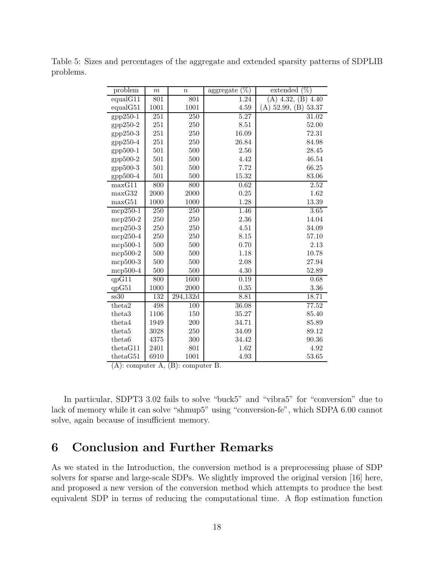Table 5: Sizes and percentages of the aggregate and extended sparsity patterns of SDPLIB problems.

| problem                  | $\boldsymbol{m}$ | $\boldsymbol{n}$ | $\overline{\%})$<br>aggregate | $\overline{(\%)}$<br>extended |
|--------------------------|------------------|------------------|-------------------------------|-------------------------------|
| equal G11                | 801              | 801              | 1.24                          | $(A)$ 4.32, $(B)$ 4.40        |
| equalG51                 | 1001             | 1001             | 4.59                          | 53.37<br>52.99, (B)<br>(A)    |
| $gpp250-1$               | 251              | 250              | 5.27                          | 31.02                         |
| gpp250-2                 | 251              | 250              | 8.51                          | 52.00                         |
| $gpp250-3$               | 251              | 250              | 16.09                         | 72.31                         |
| gpp250-4                 | 251              | 250              | 26.84                         | 84.98                         |
| gpp500-1                 | 501              | 500              | 2.56                          | 28.45                         |
| gpp500-2                 | 501              | 500              | 4.42                          | 46.54                         |
| gpp500-3                 | 501              | 500              | 7.72                          | 66.25                         |
| gpp500-4                 | 501              | 500              | 15.32                         | 83.06                         |
| maxG11                   | 800              | 800              | 0.62                          | $2.52\,$                      |
| maxG32                   | 2000             | 2000             | 0.25                          | 1.62                          |
| maxG51                   | 1000             | 1000             | 1.28                          | 13.39                         |
| $mcp250-1$               | $\overline{250}$ | $\overline{250}$ | 1.46                          | 3.65                          |
| $mcp250-2$               | 250              | 250              | 2.36                          | 14.04                         |
| $mcp250-3$               | 250              | 250              | 4.51                          | 34.09                         |
| $mcp250-4$               | 250              | 250              | 8.15                          | 57.10                         |
| $mcp500-1$               | 500              | 500              | 0.70                          | 2.13                          |
| mcp500-2                 | 500              | 500              | 1.18                          | 10.78                         |
| mcp500-3                 | 500              | 500              | 2.08                          | 27.94                         |
| $mcp500-4$               | 500              | 500              | 4.30                          | 52.89                         |
| $q\overline{pG11}$       | 800              | 1600             | 0.19                          | 0.68                          |
| qpG51                    | 1000             | 2000             | 0.35                          | 3.36                          |
| $\overline{\text{ss30}}$ | 132              | 294,132d         | 8.81                          | 18.71                         |
| theta2                   | 498              | 100              | 36.08                         | 77.52                         |
| theta <sub>3</sub>       | 1106             | 150              | 35.27                         | 85.40                         |
| theta4                   | 1949             | 200              | 34.71                         | 85.89                         |
| theta <sub>5</sub>       | 3028             | 250              | 34.09                         | 89.12                         |
| theta <sub>6</sub>       | 4375             | 300              | 34.42                         | 90.36                         |
| thetaG11                 | 2401             | 801              | 1.62                          | 4.92                          |
| thetaG51                 | 6910             | 1001             | 4.93                          | 53.65                         |

(A): computer A, (B): computer B.

In particular, SDPT3 3.02 fails to solve "buck5" and "vibra5" for "conversion" due to lack of memory while it can solve "shmup5" using "conversion-fe", which SDPA 6.00 cannot solve, again because of insufficient memory.

### 6 Conclusion and Further Remarks

As we stated in the Introduction, the conversion method is a preprocessing phase of SDP solvers for sparse and large-scale SDPs. We slightly improved the original version [16] here, and proposed a new version of the conversion method which attempts to produce the best equivalent SDP in terms of reducing the computational time. A flop estimation function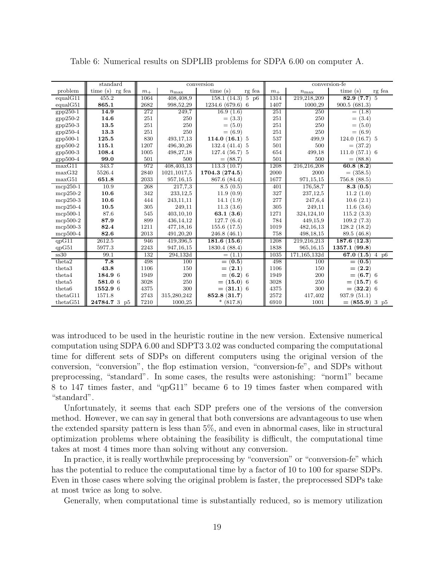|                    | standard          |         |                  | conversion                                   |         |               | conversion-fe                         |
|--------------------|-------------------|---------|------------------|----------------------------------------------|---------|---------------|---------------------------------------|
| problem            | time $(s)$ rg fea | $m_{+}$ | $n_{\text{max}}$ | time(s)<br>$\mathbf{r}\mathbf{g}$ fea        | $m_{+}$ | $n_{\rm max}$ | $\mathbf{r}\mathbf{g}$ fea<br>time(s) |
| equal G11          | 455.2             | 1064    | 408,408,9        | 158.1(14.3)<br>$\overline{5}$ p <sub>6</sub> | 1314    | 219,218,209   | $\overline{5}$<br>82.9(7.7)           |
| equalG51           | 865.1             | 2682    | 998,52,29        | 1234.6 (679.6) 6                             | 1407    | 1000,29       | 900.5(681.3)                          |
| $gpp250-1$         | 14.9              | 272     | 249,7            | 16.9(1.6)                                    | 251     | 250           | $= (1.8)$                             |
| $gpp250-2$         | 14.6              | 251     | 250              | $= (3.3)$                                    | 251     | 250           | $= (3.4)$                             |
| $gpp250-3$         | 13.5              | 251     | 250              | $= (5.0)$                                    | 251     | 250           | $= (5.0)$                             |
| $gpp250-4$         | 13.3              | 251     | 250              | $= (6.9)$                                    | 251     | 250           | $= (6.9)$                             |
| gpp500-1           | 125.5             | 830     | 493,17,13        | 114.0 $(16.1)$ 5                             | 537     | 499,9         | $124.0(16.7)$ 5                       |
| gpp500-2           | 115.1             | 1207    | 496, 30, 26      | 132.4(41.4)<br>5                             | 501     | 500           | $= (37.2)$                            |
| $gpp500-3$         | 108.4             | 1005    | 498,27,18        | $127.4(56.7)$ 5                              | 654     | 499,18        | 111.0(57.1)6                          |
| $gpp500-4$         | 99.0              | 501     | 500              | $= (88.7)$                                   | 501     | 500           | $= (88.8)$                            |
| maxG11             | 343.7             | 972     | 408,403,13       | 113.3(10.7)                                  | 1208    | 216,216,208   | 60.8(8.2)                             |
| maxG32             | 5526.4            | 2840    | 1021, 1017, 5    | 1704.3 (274.5)                               | 2000    | 2000          | $= (358.5)$                           |
| maxG51             | 651.8             | 2033    | 957, 16, 15      | 867.6 (84.4)                                 | 1677    | 971,15,15     | 756.8(88.5)                           |
| $mcp250-1$         | 10.9              | 268     | 217,7,3          | 8.5(0.5)                                     | 401     | 176,58,7      | 8.3(0.5)                              |
| $mcp250-2$         | 10.6              | 342     | 233, 12, 5       | 11.9(0.9)                                    | 327     | 237,12,5      | 11.2(1.0)                             |
| $mcp250-3$         | 10.6              | 444     | 243,11,11        | 14.1(1.9)                                    | 277     | 247,6,4       | 10.6(2.1)                             |
| $mcp250-4$         | 10.5              | 305     | 249,11           | 11.3(3.6)                                    | 305     | 249,11        | 11.6(3.6)                             |
| $mcp500-1$         | 87.6              | 545     | 403,10,10        | 63.1 $(3.6)$                                 | 1271    | 324,124,10    | 115.2(3.3)                            |
| $mcp500-2$         | 87.9              | 899     | 436, 14, 12      | 127.7(6.4)                                   | 784     | 449,15,9      | 109.2(7.3)                            |
| $mcp500-3$         | 82.4              | 1211    | 477,18,16        | 155.6(17.5)                                  | 1019    | 482, 16, 13   | 128.2(18.2)                           |
| $mcp500-4$         | 82.6              | 2013    | 491,20,20        | 246.8(46.1)                                  | 758     | 498,18,15     | 89.5 (46.8)                           |
| $qp\overline{G11}$ | 2612.5            | 946     | 419,396,5        | 181.6(15.6)                                  | 1208    | 219,216,213   | 187.6(12.3)                           |
| qpG51              | 5977.3            | 2243    | 947, 16, 15      | 1830.4 (88.4)                                | 1838    | 965, 16, 15   | 1357.1(99.8)                          |
| ss30               | 99.1              | 132     | 294,132d         | $= (1.1)$                                    | 1035    | 171,165,132d  | 67.0(1.5)<br>$4\overline{p6}$         |
| theta <sub>2</sub> | 7.8               | 498     | 100              | $= (0.5)$                                    | 498     | 100           | $= (0.5)$                             |
| theta <sub>3</sub> | 43.8              | 1106    | 150              | (2.1)<br>$=$                                 | 1106    | 150           | $= (2.2)$                             |
| theta4             | 184.9 6           | 1949    | 200              | $= (6.2) 6$                                  | 1949    | 200           | $= (6.7)$ 6                           |
| theta <sub>5</sub> | 581.0 6           | 3028    | 250              | $= (15.0)$ 6                                 | 3028    | 250           | $= (15.7)$ 6                          |
| theta <sub>6</sub> | 1552.9 6          | 4375    | 300              | $= (31.1) 6$                                 | 4375    | 300           | $= (32.2) 6$                          |
| thetaG11           | 1571.8            | 2743    | 315,280,242      | 852.8 (31.7)                                 | 2572    | 417,402       | 937.9(51.1)                           |
| thetaG51           | 24784.7 3 p5      | 7210    | 1000,25          | $*(817.8)$                                   | 6910    | 1001          | $= (855.9) 3 p5$                      |

Table 6: Numerical results on SDPLIB problems for SDPA 6.00 on computer A.

was introduced to be used in the heuristic routine in the new version. Extensive numerical computation using SDPA 6.00 and SDPT3 3.02 was conducted comparing the computational time for different sets of SDPs on different computers using the original version of the conversion, "conversion", the flop estimation version, "conversion-fe", and SDPs without preprocessing, "standard". In some cases, the results were astonishing: "norm1" became 8 to 147 times faster, and "qpG11" became 6 to 19 times faster when compared with "standard".

Unfortunately, it seems that each SDP prefers one of the versions of the conversion method. However, we can say in general that both conversions are advantageous to use when the extended sparsity pattern is less than 5%, and even in abnormal cases, like in structural optimization problems where obtaining the feasibility is difficult, the computational time takes at most 4 times more than solving without any conversion.

In practice, it is really worthwhile preprocessing by "conversion" or "conversion-fe" which has the potential to reduce the computational time by a factor of 10 to 100 for sparse SDPs. Even in those cases where solving the original problem is faster, the preprocessed SDPs take at most twice as long to solve.

Generally, when computational time is substantially reduced, so is memory utilization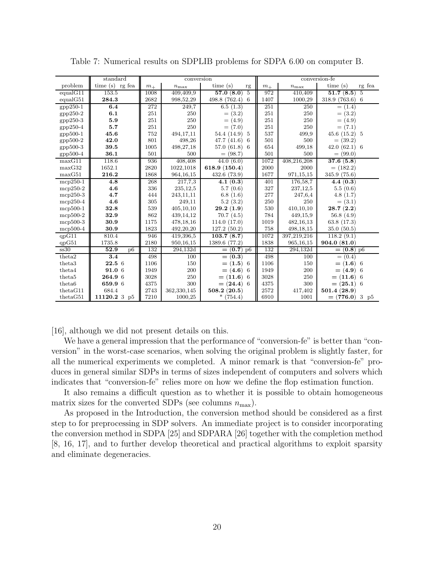|                    | standard               |         | conversion    |                    |         |               | conversion-fe                         |
|--------------------|------------------------|---------|---------------|--------------------|---------|---------------|---------------------------------------|
| problem            | time (s) rg fea        | $m_{+}$ | $n_{\rm max}$ | time $(s)$<br>rg   | $m_{+}$ | $n_{\rm max}$ | $\mathbf{r}\mathbf{g}$ fea<br>time(s) |
| equalG11           | 153.5                  | 1008    | 409,409,9     | 57.0(8.0)<br>5     | 972     | 410,409       | $\overline{51.7}$ (8.5)<br>5          |
| equal G51          | 284.3                  | 2682    | 998,52,29     | 498.8 (762.4)<br>6 | 1407    | 1000,29       | 318.9 (763.6)<br>-6                   |
| $gpp250-1$         | 6.4                    | 272     | 249,7         | 6.5(1.3)           | 251     | 250           | $= (1.4)$                             |
| $gpp250-2$         | 6.1                    | 251     | 250           | $= (3.2)$          | 251     | 250           | $= (3.2)$                             |
| $gpp250-3$         | 5.9                    | 251     | 250           | $= (4.9)$          | 251     | 250           | $= (4.9)$                             |
| $gpp250-4$         | 5.7                    | 251     | 250           | $=$ (7.0)          | 251     | 250           | $= (7.1)$                             |
| gpp500-1           | 45.6                   | 752     | 494,17,11     | 54.4 (14.9)<br>-5  | 537     | 499,9         | 45.6(15.2)<br>- 5                     |
| gpp500-2           | 42.0                   | 801     | 498,26        | 47.7(41.6)<br>6    | 501     | 500           | $= (39.2)$                            |
| $gpp500-3$         | 39.5                   | 1005    | 498,27,18     | 57.0(61.8)<br>6    | 654     | 499,18        | 42.0(62.1)<br>-6                      |
| gpp500-4           | 36.1                   | 501     | 500           | $= (98.7)$         | 501     | 500           | $= (99.0)$                            |
| maxG11             | 118.6                  | 936     | 408,408       | 44.0(6.0)          | 1072    | 408,216,208   | 37.6(5.8)                             |
| maxG32             | 1652.1                 | 2820    | 1022,1018     | 618.9 (150.4)      | 2000    | 2000          | $= (182.2)$                           |
| maxG51             | 216.2                  | 1868    | 964, 16, 15   | 432.6(73.9)        | 1677    | 971,15,15     | 345.9 (75.6)                          |
| $mcp250-1$         | 4.8                    | 268     | 217,7,3       | 4.1(0.3)           | 401     | 176,58,7      | 4.4(0.3)                              |
| $mcp250-2$         | 4.6                    | 336     | 235, 12, 5    | 5.7(0.6)           | 327     | 237,12,5      | 5.5(0.6)                              |
| $mcp250-3$         | 4.7                    | 444     | 243,11,11     | 6.8(1.6)           | 277     | 247,6,4       | 4.8(1.7)                              |
| $mcp250-4$         | 4.6                    | 305     | 249,11        | 5.2(3.2)           | 250     | 250           | $= (3.1)$                             |
| $mcp500-1$         | 32.8                   | 539     | 405,10,10     | 29.2(1.9)          | 530     | 410,10,10     | 28.7(2.2)                             |
| $mcp500-2$         | 32.9                   | 862     | 439,14,12     | 70.7(4.5)          | 784     | 449,15,9      | 56.8 $(4.9)$                          |
| $mcp500-3$         | 30.9                   | 1175    | 478,18,16     | 114.0(17.0)        | 1019    | 482, 16, 13   | 63.8 $(17.3)$                         |
| $mcp500-4$         | 30.9                   | 1823    | 492,20,20     | 127.2(50.2)        | 758     | 498, 18, 15   | 35.0(50.5)                            |
| qpG11              | 810.4                  | 946     | 419,396.5     | 103.7(8.7)         | 1072    | 397,219,216   | 118.2(9.1)                            |
| qpG51              | 1735.8                 | 2180    | 950, 16, 15   | 1389.6 (77.2)      | 1838    | 965, 16, 15   | 904.0(81.0)                           |
| ss30               | 52.9<br>D <sub>6</sub> | 132     | 294,132d      | $\equiv$ (0.7) p6  | 132     | 294,132d      | $= (0.8)$ p6                          |
| theta2             | 3.4                    | 498     | 100           | $= (0.3)$          | 498     | 100           | $= (0.4)$                             |
| theta <sub>3</sub> | $22.5\;6$              | 1106    | 150           | $= (1.5) 6$        | 1106    | 150           | $= (1.6)$<br>-6                       |
| theta4             | 91.0 6                 | 1949    | 200           | $= (4.6)$ 6        | 1949    | 200           | $= (4.9)$<br>-6                       |
| theta <sub>5</sub> | 264.9 6                | 3028    | 250           | $= (11.6)$ 6       | 3028    | 250           | $= (11.6)$ 6                          |
| theta <sub>6</sub> | 659.9 6                | 4375    | 300           | $= (24.4) 6$       | 4375    | 300           | $= (25.1) 6$                          |
| thetaG11           | 684.4                  | 2743    | 362,330,145   | 508.2(20.5)        | 2572    | 417,402       | 501.4(28.9)                           |
| thetaG51           | 11120.2 3 p5           | 7210    | 1000,25       | $\ast$<br>(754.4)  | 6910    | 1001          | $= (776.0) 3 p5$                      |

Table 7: Numerical results on SDPLIB problems for SDPA 6.00 on computer B.

[16], although we did not present details on this.

We have a general impression that the performance of "conversion-fe" is better than "conversion" in the worst-case scenarios, when solving the original problem is slightly faster, for all the numerical experiments we completed. A minor remark is that "conversion-fe" produces in general similar SDPs in terms of sizes independent of computers and solvers which indicates that "conversion-fe" relies more on how we define the flop estimation function.

It also remains a difficult question as to whether it is possible to obtain homogeneous matrix sizes for the converted SDPs (see columns  $n_{\text{max}}$ ).

As proposed in the Introduction, the conversion method should be considered as a first step to for preprocessing in SDP solvers. An immediate project is to consider incorporating the conversion method in SDPA [25] and SDPARA [26] together with the completion method [8, 16, 17], and to further develop theoretical and practical algorithms to exploit sparsity and eliminate degeneracies.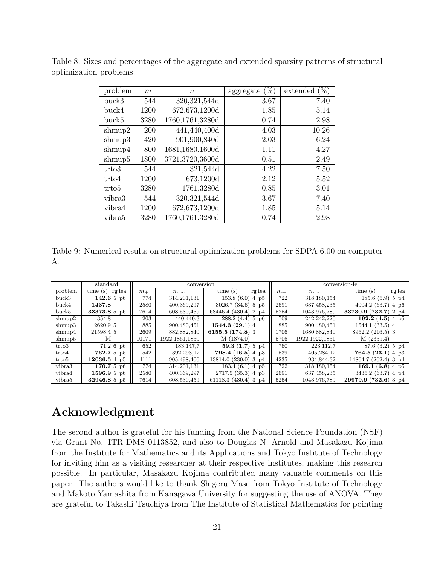| problem           | m          | $\, n$          | $(\%)$<br>aggregate | $(\%)$<br>extended |
|-------------------|------------|-----------------|---------------------|--------------------|
| buck3             | 544        | 320, 321, 544d  | 3.67                | 7.40               |
| buck4             | 1200       | 672,673,1200d   | 1.85                | 5.14               |
| buck5             | 3280       | 1760,1761,3280d | 0.74                | 2.98               |
| shmup2            | <b>200</b> | 441,440,400d    | 4.03                | 10.26              |
| shmup3            | 420        | 901,900,840d    | 2.03                | 6.24               |
| shmup4            | 800        | 1681,1680,1600d | 1.11                | 4.27               |
| shmup5            | 1800       | 3721,3720,3600d | 0.51                | 2.49               |
| trto3             | 544        | 321,544d        | 4.22                | 7.50               |
| trto4             | 1200       | 673,1200d       | 2.12                | 5.52               |
| trto <sub>5</sub> | 3280       | 1761,3280d      | 0.85                | 3.01               |
| vibra3            | 544        | 320, 321, 544d  | 3.67                | 7.40               |
| vibra4            | 1200       | 672,673,1200d   | 1.85                | 5.14               |
| vibra5            | 3280       | 1760,1761,3280d | 0.74                | 2.98               |

Table 8: Sizes and percentages of the aggregate and extended sparsity patterns of structural optimization problems.

Table 9: Numerical results on structural optimization problems for SDPA 6.00 on computer A.

|         | standard          |         | conversion       |                        |         | conversion-fe    |                               |  |  |
|---------|-------------------|---------|------------------|------------------------|---------|------------------|-------------------------------|--|--|
| problem | time(s)<br>rg fea | $m_{+}$ | $n_{\rm max}$    | time(s)<br>rg fea      | $m_{+}$ | $n_{\text{max}}$ | rg fea<br>time(s)             |  |  |
| buck3   | 142.65p6          | 774     | 314, 201, 131    | 153.8(6.0)4p5          | 722     | 318,180,154      | 185.6(6.9)5p4                 |  |  |
| buck4   | 1437.8            | 2580    | 400,369,297      | $3026.7(34.6)$ 5 p5    | 2691    | 637,458,235      | 4004.2(63.7)4p6               |  |  |
| buck5   | 33373.8 5 p6      | 7614    | 608,530,459      | 68446.4 (430.4) 2 p4   | 5254    | 1043,976,789     | 33730.9 (732.7) 2 p4          |  |  |
| shmup2  | 354.8             | 203     | 440,440,3        | $288.2(4.4)$ 5 p6      | 709     | 242,242,220      | $\overline{192.2}$ (4.5) 4 p5 |  |  |
| shmup3  | 2620.9 5          | 885     | 900,480,451      | 1544.3(29.1)4          | 885     | 900,480,451      | 1544.1(33.5)4                 |  |  |
| shmup4  | 21598.4 5         | 2609    | 882,882,840      | 6155.5 $(174.8)$ 3     | 1706    | 1680,882,840     | 8962.2 (216.5) 3              |  |  |
| shmup5  | М                 | 10171   | 1922, 1861, 1860 | M (1874.0)             | 5706    | 1922,1922,1861   | M(2359.4)                     |  |  |
| trto3   | $71.2\,6\,p6$     | 652     | 183.147.7        | 59.3 $(1.7)$ 5 p4      | 760     | 223.112.7        | 87.6(3.2)5p4                  |  |  |
| trto4   | 762.7 5 p5        | 1542    | 392,293,12       | 798.4 $(16.5)$ 4 p3    | 1539    | 405,284,12       | 764.5(23.1)4p3                |  |  |
| trto 5  | 12036.54p5        | 4111    | 905,498,406      | 13814.0 (230.0) 3 p4   | 4235    | 934,844,32       | 14864.7 (262.4) 3 p4          |  |  |
| vibra3  | 170.75p6          | 774     | 314,201,131      | 183.4(6.1)4p5          | 722     | 318,180,154      | 169.1 $(6.8)$ 4 p5            |  |  |
| vibra4  | 1596.95p6         | 2580    | 400,369,297      | 2717.5(35.3)4p3        | 2691    | 637,458,235      | 3436.2(63.7)4p4               |  |  |
| vibra5  | 32946.8 5 p5      | 7614    | 608,530,459      | 61118.3 $(430.4)$ 3 p4 | 5254    | 1043,976,789     | 29979.9(732.6)3p4             |  |  |

# Acknowledgment

The second author is grateful for his funding from the National Science Foundation (NSF) via Grant No. ITR-DMS 0113852, and also to Douglas N. Arnold and Masakazu Kojima from the Institute for Mathematics and its Applications and Tokyo Institute of Technology for inviting him as a visiting researcher at their respective institutes, making this research possible. In particular, Masakazu Kojima contributed many valuable comments on this paper. The authors would like to thank Shigeru Mase from Tokyo Institute of Technology and Makoto Yamashita from Kanagawa University for suggesting the use of ANOVA. They are grateful to Takashi Tsuchiya from The Institute of Statistical Mathematics for pointing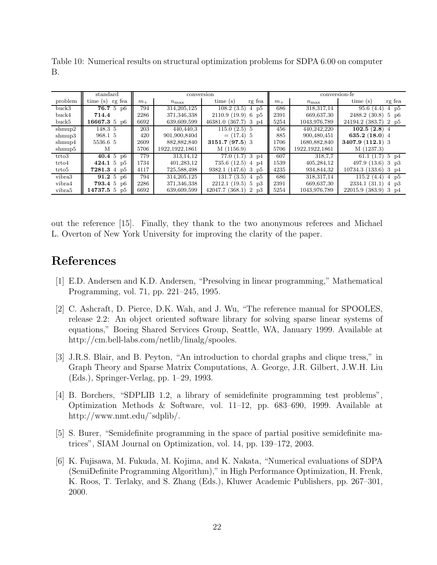Table 10: Numerical results on structural optimization problems for SDPA 6.00 on computer B.

|         | standard          |         | conversion       |                                   |         | conversion-fe    |                                     |  |  |
|---------|-------------------|---------|------------------|-----------------------------------|---------|------------------|-------------------------------------|--|--|
| problem | time $(s)$ rg fea | $m_{+}$ | $n_{\rm max}$    | time(s)<br>rg fea                 | $m_{+}$ | $n_{\rm max}$    | time(s)<br>rg fea                   |  |  |
| buck3   | 76.75p6           | 794     | 314, 205, 125    | 108.2(3.5)<br>4 p <sub>5</sub>    | 686     | 318,317,14       | 95.6(4.4)<br>$4\text{ p5}$          |  |  |
| buck4   | 714.4             | 2286    | 371,346,338      | 2110.9(19.9)<br>$6\;\;{\rm pb}$   | 2391    | 669,637,30       | 2488.2 (30.8)<br>$5\;\;{\rm pb}$    |  |  |
| buck5   | 16667.356         | 6692    | 639,609,599      | 46381.0 (367.7)<br>$3\text{ p}4$  | 5254    | 1043,976,789     | 24194.2 (383.7)<br>2 p <sub>5</sub> |  |  |
| shmup2  | 148.3 5           | 203     | 440.440.3        | $115.0(2.5)$ 5                    | 456     | 440.242.220      | 102.5(2.8)4                         |  |  |
| shmup3  | 968.1 5           | 420     | 901,900,840d     | $= (17.4) 5$                      | 885     | 900,480,451      | 635.2 $(18.0)$ 4                    |  |  |
| shmup4  | 5536.6 5          | 2609    | 882,882,840      | $3151.7(97.5)$ 3                  | 1706    | 1680,882,840     | $3407.9(112.1)$ 3                   |  |  |
| shmup5  | М                 | 5706    | 1922, 1922, 1861 | M(1156.9)                         | 5706    | 1922, 1922, 1861 | M (1237.3)                          |  |  |
| trto3   | 40.4 5 $p6$       | 779     | 313.14.12        | $77.0(1.7)$ 3 p4                  | 607     | 318,7,7          | 61.1 $(1.7)$ 5 p4                   |  |  |
| trto4   | 424.1 5 $p5$      | 1734    | 401,283,12       | 735.6(12.5)<br>4 p4               | 1539    | 405,284,12       | 497.9(13.6)<br>$3 \text{ p3}$       |  |  |
| trto 5  | 7281.3 4 p5       | 4117    | 725,588,498      | 9382.1 (147.6)<br>$3\text{ p5}$   | 4235    | 934,844,32       | 10734.3(133.6)<br>3 p4              |  |  |
| vibra3  | 91.25p6           | 794     | 314.205.125      | 131.7(3.5)<br>4 p <sub>5</sub>    | 686     | 318,317.14       | 115.2(4.4)<br>4 p <sub>5</sub>      |  |  |
| vibra4  | <b>793.4</b> 5 p6 | 2286    | 371,346,338      | $2212.1(19.5)$ 5 p3               | 2391    | 669,637,30       | 2334.1(31.1)<br>$4\text{ p3}$       |  |  |
| vibra5  | 14737.555         | 6692    | 639,609,599      | 42047.7 (368.1)<br>$2 \text{ p3}$ | 5254    | 1043,976,789     | 22015.9 (383.9)<br>$3\text{ p}4$    |  |  |

out the reference [15]. Finally, they thank to the two anonymous referees and Michael L. Overton of New York University for improving the clarity of the paper.

# References

- [1] E.D. Andersen and K.D. Andersen, "Presolving in linear programming," Mathematical Programming, vol. 71, pp. 221–245, 1995.
- [2] C. Ashcraft, D. Pierce, D.K. Wah, and J. Wu, "The reference manual for SPOOLES, release 2.2: An object oriented software library for solving sparse linear systems of equations," Boeing Shared Services Group, Seattle, WA, January 1999. Available at http://cm.bell-labs.com/netlib/linalg/spooles.
- [3] J.R.S. Blair, and B. Peyton, "An introduction to chordal graphs and clique tress," in Graph Theory and Sparse Matrix Computations, A. George, J.R. Gilbert, J.W.H. Liu (Eds.), Springer-Verlag, pp. 1–29, 1993.
- [4] B. Borchers, "SDPLIB 1.2, a library of semidefinite programming test problems", Optimization Methods & Software, vol. 11–12, pp. 683–690, 1999. Available at http://www.nmt.edu/˜sdplib/.
- [5] S. Burer, "Semidefinite programming in the space of partial positive semidefinite matrices", SIAM Journal on Optimization, vol. 14, pp. 139–172, 2003.
- [6] K. Fujisawa, M. Fukuda, M. Kojima, and K. Nakata, "Numerical evaluations of SDPA (SemiDefinite Programming Algorithm)," in High Performance Optimization, H. Frenk, K. Roos, T. Terlaky, and S. Zhang (Eds.), Kluwer Academic Publishers, pp. 267–301, 2000.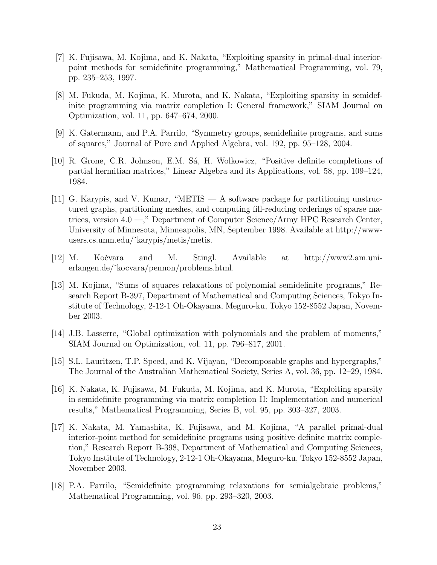- [7] K. Fujisawa, M. Kojima, and K. Nakata, "Exploiting sparsity in primal-dual interiorpoint methods for semidefinite programming," Mathematical Programming, vol. 79, pp. 235–253, 1997.
- [8] M. Fukuda, M. Kojima, K. Murota, and K. Nakata, "Exploiting sparsity in semidefinite programming via matrix completion I: General framework," SIAM Journal on Optimization, vol. 11, pp. 647–674, 2000.
- [9] K. Gatermann, and P.A. Parrilo, "Symmetry groups, semidefinite programs, and sums of squares," Journal of Pure and Applied Algebra, vol. 192, pp. 95–128, 2004.
- [10] R. Grone, C.R. Johnson, E.M. S´a, H. Wolkowicz, "Positive definite completions of partial hermitian matrices," Linear Algebra and its Applications, vol. 58, pp. 109–124, 1984.
- [11] G. Karypis, and V. Kumar, "METIS A software package for partitioning unstructured graphs, partitioning meshes, and computing fill-reducing orderings of sparse matrices, version 4.0 —," Department of Computer Science/Army HPC Research Center, University of Minnesota, Minneapolis, MN, September 1998. Available at http://wwwusers.cs.umn.edu/˜karypis/metis/metis.
- [12] M. Koˇcvara and M. Stingl. Available at http://www2.am.unierlangen.de/˜kocvara/pennon/problems.html.
- [13] M. Kojima, "Sums of squares relaxations of polynomial semidefinite programs," Research Report B-397, Department of Mathematical and Computing Sciences, Tokyo Institute of Technology, 2-12-1 Oh-Okayama, Meguro-ku, Tokyo 152-8552 Japan, November 2003.
- [14] J.B. Lasserre, "Global optimization with polynomials and the problem of moments," SIAM Journal on Optimization, vol. 11, pp. 796–817, 2001.
- [15] S.L. Lauritzen, T.P. Speed, and K. Vijayan, "Decomposable graphs and hypergraphs," The Journal of the Australian Mathematical Society, Series A, vol. 36, pp. 12–29, 1984.
- [16] K. Nakata, K. Fujisawa, M. Fukuda, M. Kojima, and K. Murota, "Exploiting sparsity in semidefinite programming via matrix completion II: Implementation and numerical results," Mathematical Programming, Series B, vol. 95, pp. 303–327, 2003.
- [17] K. Nakata, M. Yamashita, K. Fujisawa, and M. Kojima, "A parallel primal-dual interior-point method for semidefinite programs using positive definite matrix completion," Research Report B-398, Department of Mathematical and Computing Sciences, Tokyo Institute of Technology, 2-12-1 Oh-Okayama, Meguro-ku, Tokyo 152-8552 Japan, November 2003.
- [18] P.A. Parrilo, "Semidefinite programming relaxations for semialgebraic problems," Mathematical Programming, vol. 96, pp. 293–320, 2003.